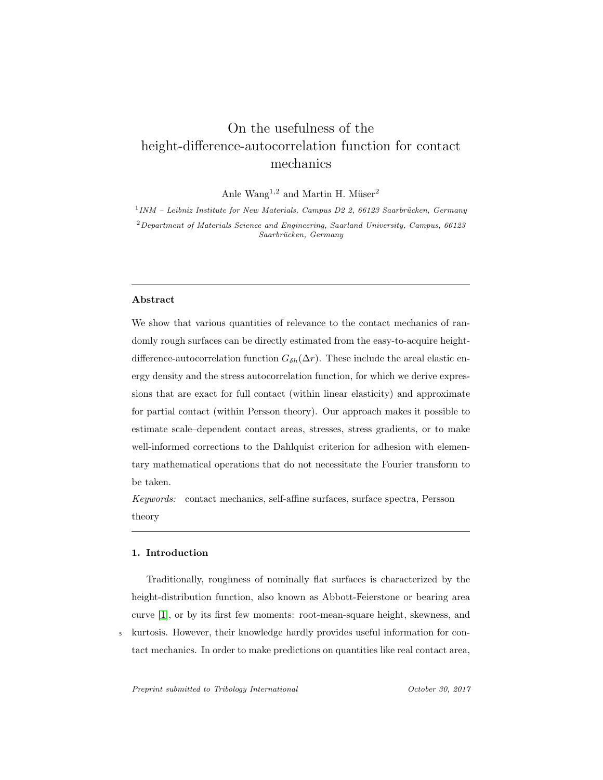# On the usefulness of the height-difference-autocorrelation function for contact mechanics

Anle Wang<sup>1,2</sup> and Martin H. Müser<sup>2</sup>

 $11NM - Leibniz Institute for New Materials, Campus D2 2, 66123 Saarbrücken, Germany$  $^2$  Department of Materials Science and Engineering, Saarland University, Campus,  $66123\,$ Saarbrücken, Germany

# Abstract

We show that various quantities of relevance to the contact mechanics of randomly rough surfaces can be directly estimated from the easy-to-acquire heightdifference-autocorrelation function  $G_{\delta h}(\Delta r)$ . These include the areal elastic energy density and the stress autocorrelation function, for which we derive expressions that are exact for full contact (within linear elasticity) and approximate for partial contact (within Persson theory). Our approach makes it possible to estimate scale–dependent contact areas, stresses, stress gradients, or to make well-informed corrections to the Dahlquist criterion for adhesion with elementary mathematical operations that do not necessitate the Fourier transform to be taken.

Keywords: contact mechanics, self-affine surfaces, surface spectra, Persson theory

# 1. Introduction

Traditionally, roughness of nominally flat surfaces is characterized by the height-distribution function, also known as Abbott-Feierstone or bearing area curve [\[1\]](#page-26-0), or by its first few moments: root-mean-square height, skewness, and <sup>5</sup> kurtosis. However, their knowledge hardly provides useful information for contact mechanics. In order to make predictions on quantities like real contact area,

Preprint submitted to Tribology International Corollection Corollection Corollection Corollection Corollection Corollection Corollection Corollection Corollection Corollection Corollection Corollection Corollection Corolle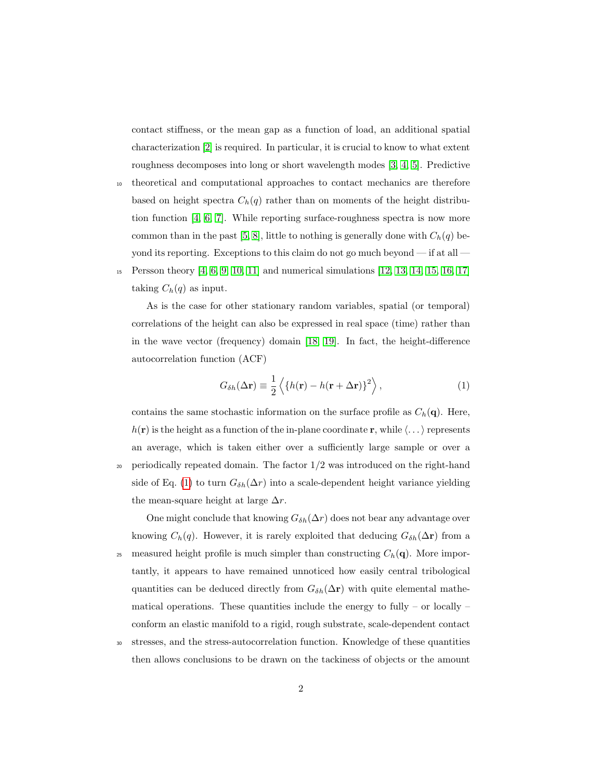contact stiffness, or the mean gap as a function of load, an additional spatial characterization [\[2\]](#page-26-1) is required. In particular, it is crucial to know to what extent roughness decomposes into long or short wavelength modes [\[3,](#page-26-2) [4,](#page-26-3) [5\]](#page-26-4). Predictive

- <sup>10</sup> theoretical and computational approaches to contact mechanics are therefore based on height spectra  $C_h(q)$  rather than on moments of the height distribution function [\[4,](#page-26-3) [6,](#page-27-0) [7\]](#page-27-1). While reporting surface-roughness spectra is now more common than in the past [\[5,](#page-26-4) [8\]](#page-27-2), little to nothing is generally done with  $C_h(q)$  beyond its reporting. Exceptions to this claim do not go much beyond — if at all —
- <sup>15</sup> Persson theory [\[4,](#page-26-3) [6,](#page-27-0) [9,](#page-27-3) [10,](#page-27-4) [11\]](#page-27-5) and numerical simulations [\[12,](#page-27-6) [13,](#page-27-7) [14,](#page-28-0) [15,](#page-28-1) [16,](#page-28-2) [17\]](#page-28-3) taking  $C_h(q)$  as input.

As is the case for other stationary random variables, spatial (or temporal) correlations of the height can also be expressed in real space (time) rather than in the wave vector (frequency) domain [\[18,](#page-28-4) [19\]](#page-28-5). In fact, the height-difference autocorrelation function (ACF)

<span id="page-1-0"></span>
$$
G_{\delta h}(\Delta \mathbf{r}) \equiv \frac{1}{2} \left\langle \{ h(\mathbf{r}) - h(\mathbf{r} + \Delta \mathbf{r}) \}^2 \right\rangle, \tag{1}
$$

contains the same stochastic information on the surface profile as  $C_h(\mathbf{q})$ . Here,  $h(\mathbf{r})$  is the height as a function of the in-plane coordinate r, while  $\langle \dots \rangle$  represents an average, which is taken either over a sufficiently large sample or over a 20 periodically repeated domain. The factor  $1/2$  was introduced on the right-hand side of Eq. [\(1\)](#page-1-0) to turn  $G_{\delta h}(\Delta r)$  into a scale-dependent height variance yielding the mean-square height at large  $\Delta r$ .

One might conclude that knowing  $G_{\delta h}(\Delta r)$  does not bear any advantage over knowing  $C_h(q)$ . However, it is rarely exploited that deducing  $G_{\delta h}(\Delta r)$  from a 25 measured height profile is much simpler than constructing  $C_h(\mathbf{q})$ . More importantly, it appears to have remained unnoticed how easily central tribological quantities can be deduced directly from  $G_{\delta h}(\Delta r)$  with quite elemental mathematical operations. These quantities include the energy to fully – or locally – conform an elastic manifold to a rigid, rough substrate, scale-dependent contact

<sup>30</sup> stresses, and the stress-autocorrelation function. Knowledge of these quantities then allows conclusions to be drawn on the tackiness of objects or the amount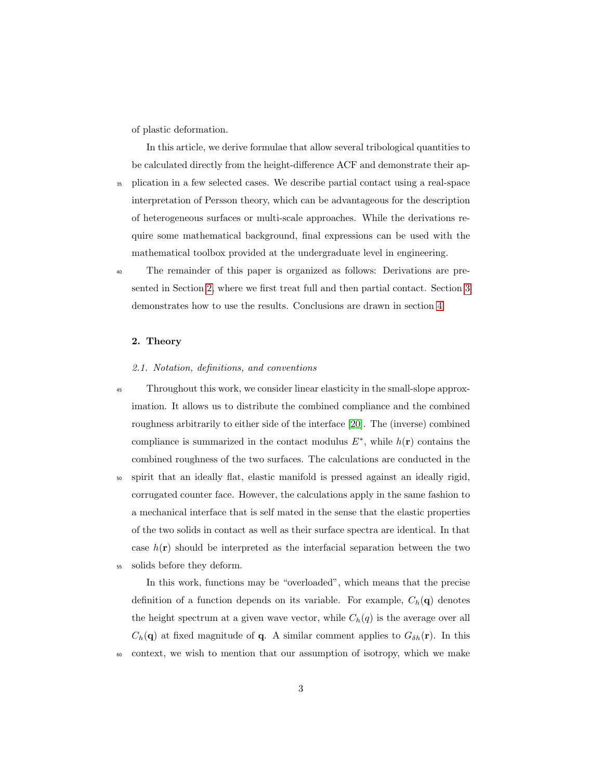of plastic deformation.

In this article, we derive formulae that allow several tribological quantities to be calculated directly from the height-difference ACF and demonstrate their ap-

- <sup>35</sup> plication in a few selected cases. We describe partial contact using a real-space interpretation of Persson theory, which can be advantageous for the description of heterogeneous surfaces or multi-scale approaches. While the derivations require some mathematical background, final expressions can be used with the mathematical toolbox provided at the undergraduate level in engineering.
- <sup>40</sup> The remainder of this paper is organized as follows: Derivations are presented in Section [2,](#page-2-0) where we first treat full and then partial contact. Section [3](#page-10-0) demonstrates how to use the results. Conclusions are drawn in section [4.](#page-24-0)

# <span id="page-2-0"></span>2. Theory

# 2.1. Notation, definitions, and conventions

- <sup>45</sup> Throughout this work, we consider linear elasticity in the small-slope approximation. It allows us to distribute the combined compliance and the combined roughness arbitrarily to either side of the interface [\[20\]](#page-28-6). The (inverse) combined compliance is summarized in the contact modulus  $E^*$ , while  $h(\mathbf{r})$  contains the combined roughness of the two surfaces. The calculations are conducted in the
- <sup>50</sup> spirit that an ideally flat, elastic manifold is pressed against an ideally rigid, corrugated counter face. However, the calculations apply in the same fashion to a mechanical interface that is self mated in the sense that the elastic properties of the two solids in contact as well as their surface spectra are identical. In that case  $h(\mathbf{r})$  should be interpreted as the interfacial separation between the two <sup>55</sup> solids before they deform.

In this work, functions may be "overloaded", which means that the precise definition of a function depends on its variable. For example,  $C_h(\mathbf{q})$  denotes the height spectrum at a given wave vector, while  $C_h(q)$  is the average over all  $C_h(\mathbf{q})$  at fixed magnitude of **q**. A similar comment applies to  $G_{\delta h}(\mathbf{r})$ . In this <sup>60</sup> context, we wish to mention that our assumption of isotropy, which we make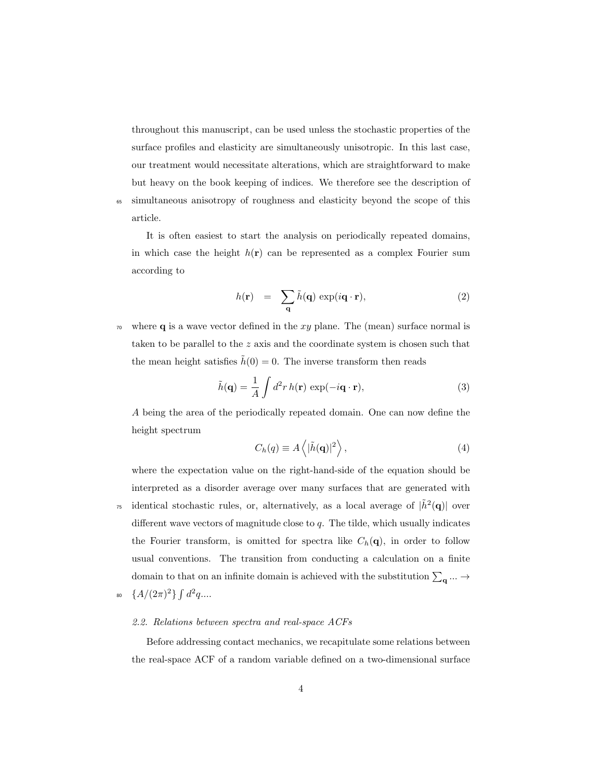throughout this manuscript, can be used unless the stochastic properties of the surface profiles and elasticity are simultaneously unisotropic. In this last case, our treatment would necessitate alterations, which are straightforward to make but heavy on the book keeping of indices. We therefore see the description of <sup>65</sup> simultaneous anisotropy of roughness and elasticity beyond the scope of this article.

It is often easiest to start the analysis on periodically repeated domains, in which case the height  $h(\mathbf{r})$  can be represented as a complex Fourier sum according to

$$
h(\mathbf{r}) = \sum_{\mathbf{q}} \tilde{h}(\mathbf{q}) \exp(i\mathbf{q} \cdot \mathbf{r}), \qquad (2)
$$

where **q** is a wave vector defined in the xy plane. The (mean) surface normal is taken to be parallel to the z axis and the coordinate system is chosen such that the mean height satisfies  $\tilde{h}(0) = 0$ . The inverse transform then reads

$$
\tilde{h}(\mathbf{q}) = \frac{1}{A} \int d^2 r \, h(\mathbf{r}) \, \exp(-i\mathbf{q} \cdot \mathbf{r}),\tag{3}
$$

A being the area of the periodically repeated domain. One can now define the height spectrum

$$
C_h(q) \equiv A \left\langle |\tilde{h}(\mathbf{q})|^2 \right\rangle,\tag{4}
$$

where the expectation value on the right-hand-side of the equation should be interpreted as a disorder average over many surfaces that are generated with <sup>75</sup> identical stochastic rules, or, alternatively, as a local average of  $|\tilde{h}^2(\mathbf{q})|$  over different wave vectors of magnitude close to  $q$ . The tilde, which usually indicates the Fourier transform, is omitted for spectra like  $C_h(\mathbf{q})$ , in order to follow usual conventions. The transition from conducting a calculation on a finite domain to that on an infinite domain is achieved with the substitution  $\sum_{\mathbf{q}} \dots \rightarrow$ 80  $\{A/(2\pi)^2\}\int d^2q...$ 

#### 2.2. Relations between spectra and real-space ACFs

Before addressing contact mechanics, we recapitulate some relations between the real-space ACF of a random variable defined on a two-dimensional surface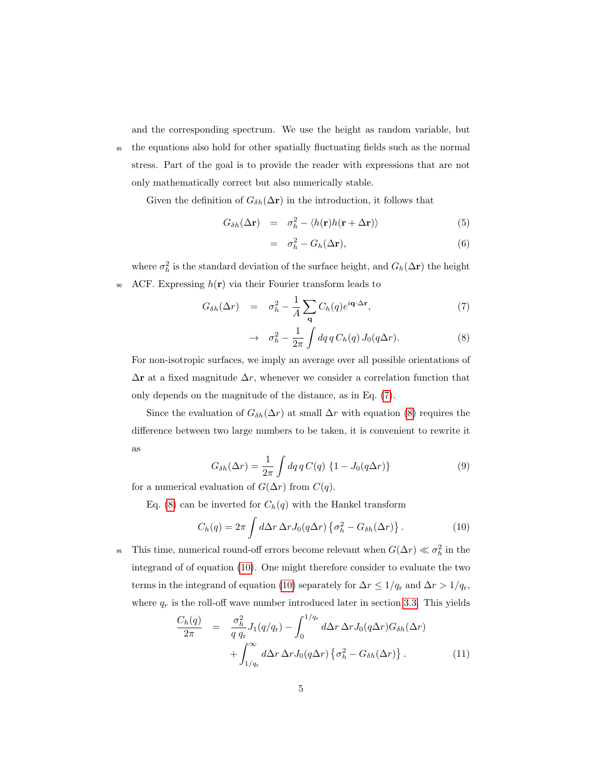and the corresponding spectrum. We use the height as random variable, but

<sup>85</sup> the equations also hold for other spatially fluctuating fields such as the normal stress. Part of the goal is to provide the reader with expressions that are not only mathematically correct but also numerically stable.

Given the definition of  $G_{\delta h}(\Delta r)$  in the introduction, it follows that

<span id="page-4-2"></span>
$$
G_{\delta h}(\Delta \mathbf{r}) = \sigma_h^2 - \langle h(\mathbf{r}) h(\mathbf{r} + \Delta \mathbf{r}) \rangle \tag{5}
$$

$$
= \sigma_h^2 - G_h(\Delta \mathbf{r}), \tag{6}
$$

where  $\sigma_h^2$  is the standard deviation of the surface height, and  $G_h(\Delta \mathbf{r})$  the height 90 ACF. Expressing  $h(\mathbf{r})$  via their Fourier transform leads to

<span id="page-4-0"></span>
$$
G_{\delta h}(\Delta r) = \sigma_h^2 - \frac{1}{A} \sum_{\mathbf{q}} C_h(q) e^{i\mathbf{q} \cdot \Delta \mathbf{r}}, \qquad (7)
$$

$$
\rightarrow \quad \sigma_h^2 - \frac{1}{2\pi} \int dq \, q \, C_h(q) \, J_0(q\Delta r). \tag{8}
$$

For non-isotropic surfaces, we imply an average over all possible orientations of  $\Delta$ r at a fixed magnitude  $\Delta r$ , whenever we consider a correlation function that only depends on the magnitude of the distance, as in Eq. [\(7\)](#page-4-0).

Since the evaluation of  $G_{\delta h}(\Delta r)$  at small  $\Delta r$  with equation [\(8\)](#page-4-0) requires the difference between two large numbers to be taken, it is convenient to rewrite it as

<span id="page-4-1"></span>
$$
G_{\delta h}(\Delta r) = \frac{1}{2\pi} \int dq \, q \, C(q) \left\{ 1 - J_0(q\Delta r) \right\} \tag{9}
$$

for a numerical evaluation of  $G(\Delta r)$  from  $C(q)$ .

Eq. [\(8\)](#page-4-0) can be inverted for  $C_h(q)$  with the Hankel transform

$$
C_h(q) = 2\pi \int d\Delta r \,\Delta r J_0(q\Delta r) \left\{ \sigma_h^2 - G_{\delta h}(\Delta r) \right\}.
$$
 (10)

<sup>95</sup> This time, numerical round-off errors become relevant when  $G(\Delta r) \ll \sigma_h^2$  in the integrand of of equation [\(10\)](#page-4-1). One might therefore consider to evaluate the two terms in the integrand of equation [\(10\)](#page-4-1) separately for  $\Delta r \leq 1/q_r$  and  $\Delta r > 1/q_r$ , where  $q_r$  is the roll-off wave number introduced later in section [3.3.](#page-12-0) This yields

$$
\frac{C_h(q)}{2\pi} = \frac{\sigma_h^2}{q q_r} J_1(q/q_r) - \int_0^{1/q_r} d\Delta r \,\Delta r J_0(q\Delta r) G_{\delta h}(\Delta r) + \int_{1/q_r}^{\infty} d\Delta r \,\Delta r J_0(q\Delta r) \left\{ \sigma_h^2 - G_{\delta h}(\Delta r) \right\}.
$$
\n(11)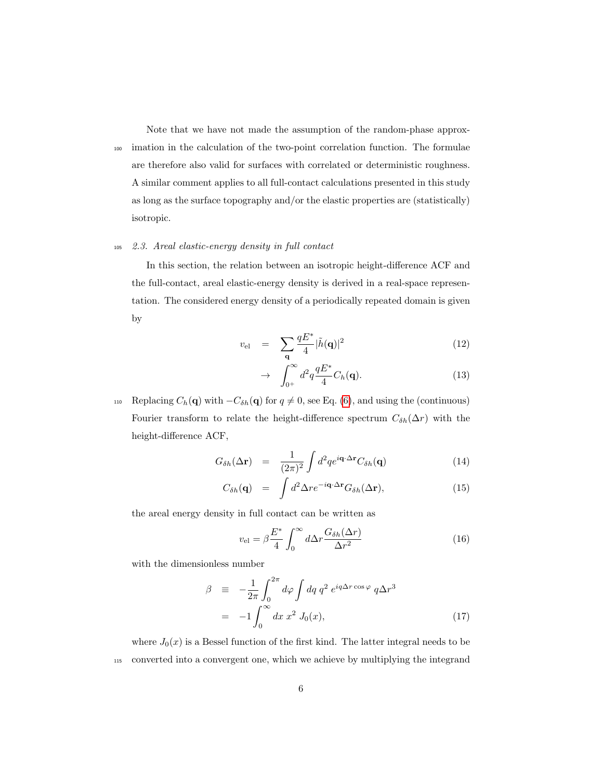Note that we have not made the assumption of the random-phase approx-<sup>100</sup> imation in the calculation of the two-point correlation function. The formulae are therefore also valid for surfaces with correlated or deterministic roughness. A similar comment applies to all full-contact calculations presented in this study as long as the surface topography and/or the elastic properties are (statistically) isotropic.

# <sup>105</sup> 2.3. Areal elastic-energy density in full contact

In this section, the relation between an isotropic height-difference ACF and the full-contact, areal elastic-energy density is derived in a real-space representation. The considered energy density of a periodically repeated domain is given by

<span id="page-5-1"></span>
$$
v_{\rm el} = \sum_{\mathbf{q}} \frac{qE^*}{4} |\tilde{h}(\mathbf{q})|^2 \tag{12}
$$

$$
\rightarrow \int_{0^+}^{\infty} d^2q \frac{qE^*}{4} C_h(\mathbf{q}). \tag{13}
$$

110 Replacing  $C_h(\mathbf{q})$  with  $-C_{\delta h}(\mathbf{q})$  for  $q \neq 0$ , see Eq. [\(6\)](#page-4-2), and using the (continuous) Fourier transform to relate the height-difference spectrum  $C_{\delta h}(\Delta r)$  with the height-difference ACF,

$$
G_{\delta h}(\Delta \mathbf{r}) = \frac{1}{(2\pi)^2} \int d^2q e^{i\mathbf{q} \cdot \Delta \mathbf{r}} C_{\delta h}(\mathbf{q}) \qquad (14)
$$

$$
C_{\delta h}(\mathbf{q}) = \int d^2 \Delta r e^{-i\mathbf{q} \cdot \Delta \mathbf{r}} G_{\delta h}(\Delta \mathbf{r}), \qquad (15)
$$

the areal energy density in full contact can be written as

<span id="page-5-0"></span>
$$
v_{\rm el} = \beta \frac{E^*}{4} \int_0^\infty d\Delta r \frac{G_{\delta h}(\Delta r)}{\Delta r^2} \tag{16}
$$

with the dimensionless number

$$
\beta \equiv -\frac{1}{2\pi} \int_0^{2\pi} d\varphi \int dq \, q^2 \, e^{iq\Delta r \cos \varphi} \, q\Delta r^3
$$
\n
$$
= -1 \int_0^{\infty} dx \, x^2 \, J_0(x), \tag{17}
$$

where  $J_0(x)$  is a Bessel function of the first kind. The latter integral needs to be <sup>115</sup> converted into a convergent one, which we achieve by multiplying the integrand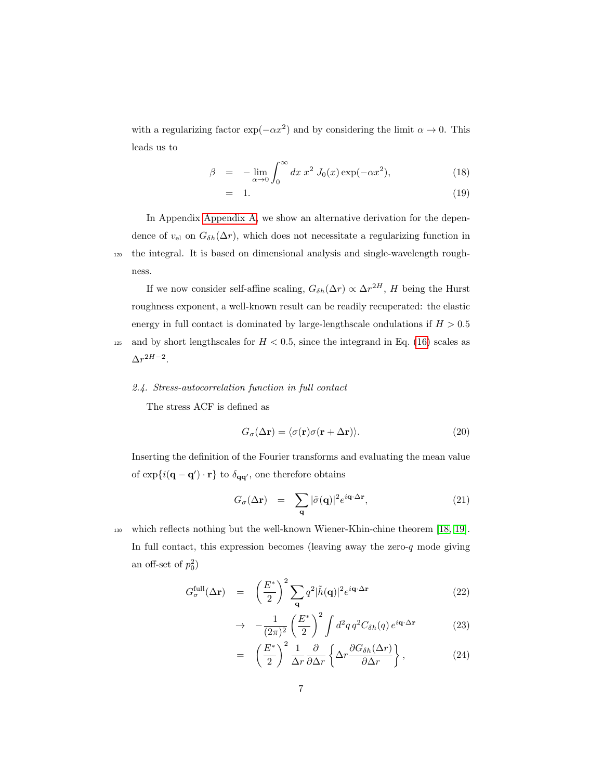with a regularizing factor  $\exp(-\alpha x^2)$  and by considering the limit  $\alpha \to 0$ . This leads us to

$$
\beta = -\lim_{\alpha \to 0} \int_0^\infty dx \, x^2 \, J_0(x) \exp(-\alpha x^2), \tag{18}
$$

$$
= 1. \t(19)
$$

In Appendix [Appendix A,](#page-25-0) we show an alternative derivation for the dependence of  $v_{el}$  on  $G_{\delta h}(\Delta r)$ , which does not necessitate a regularizing function in <sup>120</sup> the integral. It is based on dimensional analysis and single-wavelength roughness.

If we now consider self-affine scaling,  $G_{\delta h}(\Delta r) \propto \Delta r^{2H}$ , H being the Hurst roughness exponent, a well-known result can be readily recuperated: the elastic energy in full contact is dominated by large-lengthscale ondulations if  $H > 0.5$ <sup>125</sup> and by short lengthscales for  $H < 0.5$ , since the integrand in Eq. [\(16\)](#page-5-0) scales as  $\Delta r^{2H-2}$ .

#### 2.4. Stress-autocorrelation function in full contact

The stress ACF is defined as

$$
G_{\sigma}(\Delta \mathbf{r}) = \langle \sigma(\mathbf{r}) \sigma(\mathbf{r} + \Delta \mathbf{r}) \rangle.
$$
 (20)

Inserting the definition of the Fourier transforms and evaluating the mean value of  $\exp{i(\mathbf{q}-\mathbf{q}') \cdot \mathbf{r}}$  to  $\delta_{\mathbf{qq}'},$  one therefore obtains

$$
G_{\sigma}(\Delta \mathbf{r}) = \sum_{\mathbf{q}} |\tilde{\sigma}(\mathbf{q})|^2 e^{i\mathbf{q} \cdot \Delta \mathbf{r}}, \qquad (21)
$$

<sup>130</sup> which reflects nothing but the well-known Wiener-Khin-chine theorem [\[18,](#page-28-4) [19\]](#page-28-5). In full contact, this expression becomes (leaving away the zero- $q$  mode giving an off-set of  $p_0^2$ )

<span id="page-6-0"></span>
$$
G_{\sigma}^{\text{full}}(\Delta \mathbf{r}) = \left(\frac{E^*}{2}\right)^2 \sum_{\mathbf{q}} q^2 |\tilde{h}(\mathbf{q})|^2 e^{i\mathbf{q}\cdot\Delta \mathbf{r}} \tag{22}
$$

$$
\rightarrow -\frac{1}{(2\pi)^2} \left(\frac{E^*}{2}\right)^2 \int d^2q \, q^2 C_{\delta h}(q) \, e^{i\mathbf{q}\cdot\Delta\mathbf{r}} \tag{23}
$$

$$
= \left(\frac{E^*}{2}\right)^2 \frac{1}{\Delta r} \frac{\partial}{\partial \Delta r} \left\{ \Delta r \frac{\partial G_{\delta h}(\Delta r)}{\partial \Delta r} \right\},\tag{24}
$$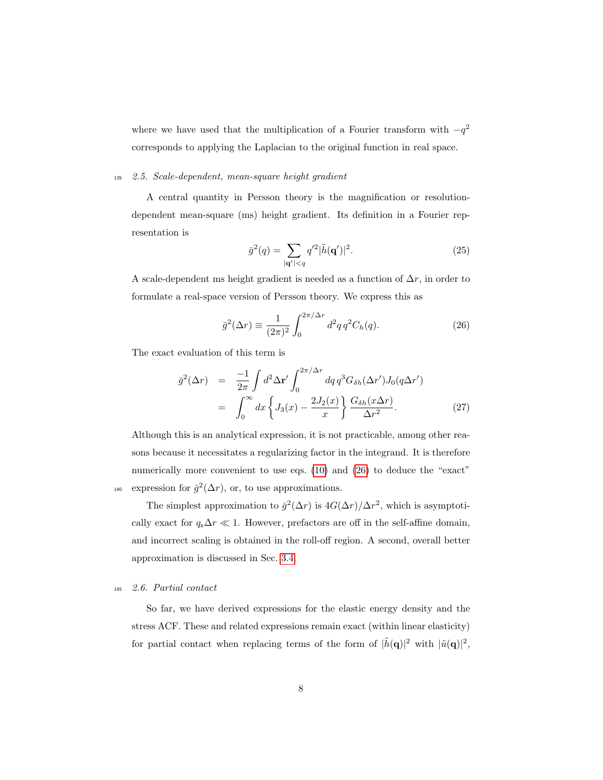where we have used that the multiplication of a Fourier transform with  $-q^2$ corresponds to applying the Laplacian to the original function in real space.

#### <sup>135</sup> 2.5. Scale-dependent, mean-square height gradient

A central quantity in Persson theory is the magnification or resolutiondependent mean-square (ms) height gradient. Its definition in a Fourier representation is

<span id="page-7-0"></span>
$$
\bar{g}^{2}(q) = \sum_{|\mathbf{q}'| < q} q'^{2} |\tilde{h}(\mathbf{q}')|^{2}.\tag{25}
$$

A scale-dependent ms height gradient is needed as a function of  $\Delta r$ , in order to formulate a real-space version of Persson theory. We express this as

$$
\bar{g}^2(\Delta r) \equiv \frac{1}{(2\pi)^2} \int_0^{2\pi/\Delta r} d^2q \, q^2 C_h(q). \tag{26}
$$

The exact evaluation of this term is

<span id="page-7-1"></span>
$$
\bar{g}^{2}(\Delta r) = \frac{-1}{2\pi} \int d^{2} \Delta \mathbf{r}' \int_{0}^{2\pi/\Delta r} dq q^{3} G_{\delta h}(\Delta r') J_{0}(q \Delta r')
$$

$$
= \int_{0}^{\infty} dx \left\{ J_{3}(x) - \frac{2J_{2}(x)}{x} \right\} \frac{G_{\delta h}(x \Delta r)}{\Delta r^{2}}.
$$
(27)

Although this is an analytical expression, it is not practicable, among other reasons because it necessitates a regularizing factor in the integrand. It is therefore numerically more convenient to use eqs. [\(10\)](#page-4-1) and [\(26\)](#page-7-0) to deduce the "exact" <sup>140</sup> expression for  $\bar{g}^2(\Delta r)$ , or, to use approximations.

The simplest approximation to  $\bar{g}^2(\Delta r)$  is  $4G(\Delta r)/\Delta r^2$ , which is asymptotically exact for  $q_s \Delta r \ll 1$ . However, prefactors are off in the self-affine domain, and incorrect scaling is obtained in the roll-off region. A second, overall better approximation is discussed in Sec. [3.4.](#page-15-0)

# <sup>145</sup> 2.6. Partial contact

So far, we have derived expressions for the elastic energy density and the stress ACF. These and related expressions remain exact (within linear elasticity) for partial contact when replacing terms of the form of  $|\tilde{h}(\mathbf{q})|^2$  with  $|\tilde{u}(\mathbf{q})|^2$ ,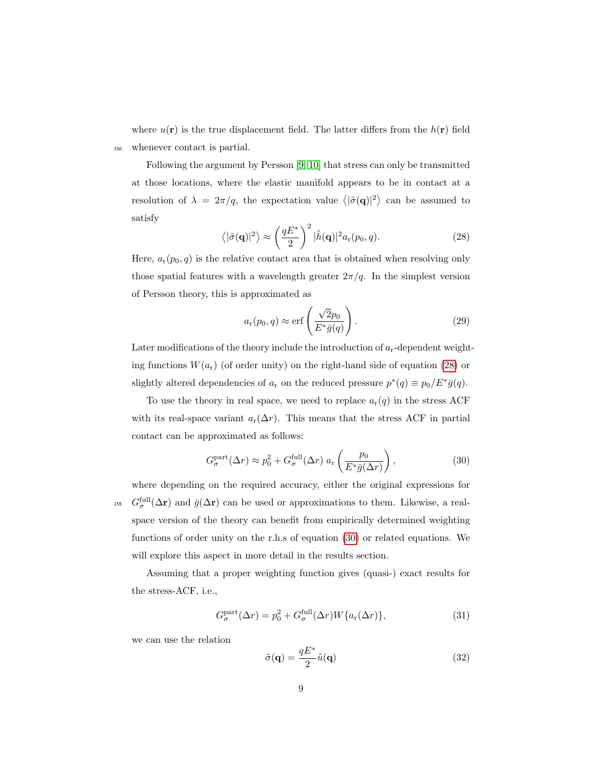where  $u(\mathbf{r})$  is the true displacement field. The latter differs from the  $h(\mathbf{r})$  field <sup>150</sup> whenever contact is partial.

<span id="page-8-0"></span>Following the argument by Persson [\[9,](#page-27-3) [10\]](#page-27-4) that stress can only be transmitted at those locations, where the elastic manifold appears to be in contact at a resolution of  $\lambda = 2\pi/q$ , the expectation value  $\langle |\tilde{\sigma}(\mathbf{q})|^2 \rangle$  can be assumed to satisfy

$$
\langle |\tilde{\sigma}(\mathbf{q})|^2 \rangle \approx \left(\frac{qE^*}{2}\right)^2 |\tilde{h}(\mathbf{q})|^2 a_r(p_0, q). \tag{28}
$$

Here,  $a_r(p_0, q)$  is the relative contact area that is obtained when resolving only those spatial features with a wavelength greater  $2\pi/q$ . In the simplest version of Persson theory, this is approximated as

<span id="page-8-2"></span>
$$
a_{\rm r}(p_0, q) \approx \text{erf}\left(\frac{\sqrt{2}p_0}{E^*\bar{g}(q)}\right). \tag{29}
$$

Later modifications of the theory include the introduction of  $a_r$ -dependent weighting functions  $W(a_r)$  (of order unity) on the right-hand side of equation [\(28\)](#page-8-0) or slightly altered dependencies of  $a_r$  on the reduced pressure  $p^*(q) \equiv p_0/E^* \bar{g}(q)$ .

To use the theory in real space, we need to replace  $a_r(q)$  in the stress ACF with its real-space variant  $a_r(\Delta r)$ . This means that the stress ACF in partial contact can be approximated as follows:

<span id="page-8-1"></span>
$$
G_{\sigma}^{\text{part}}(\Delta r) \approx p_0^2 + G_{\sigma}^{\text{full}}(\Delta r) a_r \left(\frac{p_0}{E^* \bar{g}(\Delta r)}\right),\tag{30}
$$

where depending on the required accuracy, either the original expressions for <sup>155</sup>  $G_{\sigma}^{\text{full}}(\Delta \mathbf{r})$  and  $\bar{g}(\Delta \mathbf{r})$  can be used or approximations to them. Likewise, a realspace version of the theory can benefit from empirically determined weighting functions of order unity on the r.h.s of equation [\(30\)](#page-8-1) or related equations. We will explore this aspect in more detail in the results section.

Assuming that a proper weighting function gives (quasi-) exact results for the stress-ACF, i.e.,

$$
G_{\sigma}^{\text{part}}(\Delta r) = p_0^2 + G_{\sigma}^{\text{full}}(\Delta r)W\{a_r(\Delta r)\},\tag{31}
$$

we can use the relation

$$
\tilde{\sigma}(\mathbf{q}) = \frac{qE^*}{2}\tilde{u}(\mathbf{q})
$$
\n(32)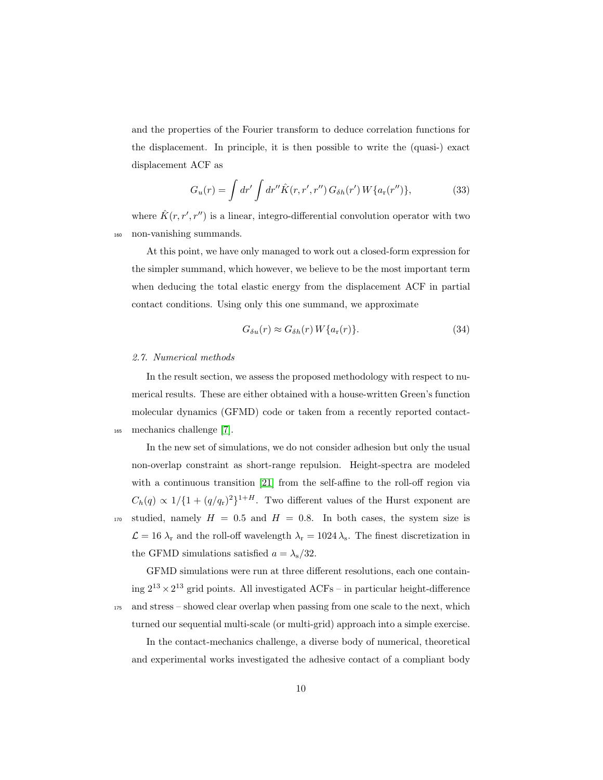and the properties of the Fourier transform to deduce correlation functions for the displacement. In principle, it is then possible to write the (quasi-) exact displacement ACF as

$$
G_u(r) = \int dr' \int dr'' \hat{K}(r, r', r'') G_{\delta h}(r') W\{a_r(r'')\},\tag{33}
$$

where  $\hat{K}(r, r', r'')$  is a linear, integro-differential convolution operator with two <sup>160</sup> non-vanishing summands.

At this point, we have only managed to work out a closed-form expression for the simpler summand, which however, we believe to be the most important term when deducing the total elastic energy from the displacement ACF in partial contact conditions. Using only this one summand, we approximate

$$
G_{\delta u}(r) \approx G_{\delta h}(r) W\{a_{\rm r}(r)\}.
$$
\n(34)

#### <span id="page-9-0"></span>2.7. Numerical methods

In the result section, we assess the proposed methodology with respect to numerical results. These are either obtained with a house-written Green's function molecular dynamics (GFMD) code or taken from a recently reported contact-<sup>165</sup> mechanics challenge [\[7\]](#page-27-1).

In the new set of simulations, we do not consider adhesion but only the usual non-overlap constraint as short-range repulsion. Height-spectra are modeled with a continuous transition [\[21\]](#page-28-7) from the self-affine to the roll-off region via  $C_h(q) \propto 1/\{1 + (q/q_r)^2\}^{1+H}$ . Two different values of the Hurst exponent are 170 studied, namely  $H = 0.5$  and  $H = 0.8$ . In both cases, the system size is  $\mathcal{L} = 16 \lambda_r$  and the roll-off wavelength  $\lambda_r = 1024 \lambda_s$ . The finest discretization in the GFMD simulations satisfied  $a = \lambda_s/32$ .

GFMD simulations were run at three different resolutions, each one containing  $2^{13} \times 2^{13}$  grid points. All investigated ACFs – in particular height-difference <sup>175</sup> and stress – showed clear overlap when passing from one scale to the next, which turned our sequential multi-scale (or multi-grid) approach into a simple exercise.

In the contact-mechanics challenge, a diverse body of numerical, theoretical and experimental works investigated the adhesive contact of a compliant body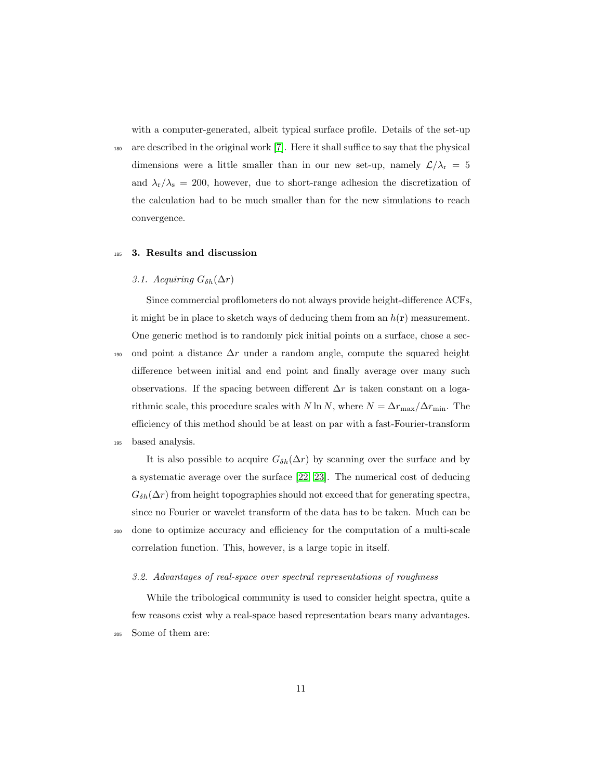with a computer-generated, albeit typical surface profile. Details of the set-up

<sup>180</sup> are described in the original work [\[7\]](#page-27-1). Here it shall suffice to say that the physical dimensions were a little smaller than in our new set-up, namely  $\mathcal{L}/\lambda_\mathrm{r}~=~5$ and  $\lambda_{\rm r}/\lambda_{\rm s}$  = 200, however, due to short-range adhesion the discretization of the calculation had to be much smaller than for the new simulations to reach convergence.

## <span id="page-10-0"></span><sup>185</sup> 3. Results and discussion

# 3.1. Acquiring  $G_{\delta h}(\Delta r)$

Since commercial profilometers do not always provide height-difference ACFs, it might be in place to sketch ways of deducing them from an  $h(\mathbf{r})$  measurement. One generic method is to randomly pick initial points on a surface, chose a sec-

190 ond point a distance  $\Delta r$  under a random angle, compute the squared height difference between initial and end point and finally average over many such observations. If the spacing between different  $\Delta r$  is taken constant on a logarithmic scale, this procedure scales with N ln N, where  $N = \Delta r_{\text{max}}/\Delta r_{\text{min}}$ . The efficiency of this method should be at least on par with a fast-Fourier-transform <sup>195</sup> based analysis.

It is also possible to acquire  $G_{\delta h}(\Delta r)$  by scanning over the surface and by a systematic average over the surface [\[22,](#page-28-8) [23\]](#page-29-0). The numerical cost of deducing  $G_{\delta h}(\Delta r)$  from height topographies should not exceed that for generating spectra, since no Fourier or wavelet transform of the data has to be taken. Much can be <sup>200</sup> done to optimize accuracy and efficiency for the computation of a multi-scale correlation function. This, however, is a large topic in itself.

#### 3.2. Advantages of real-space over spectral representations of roughness

While the tribological community is used to consider height spectra, quite a few reasons exist why a real-space based representation bears many advantages. <sup>205</sup> Some of them are: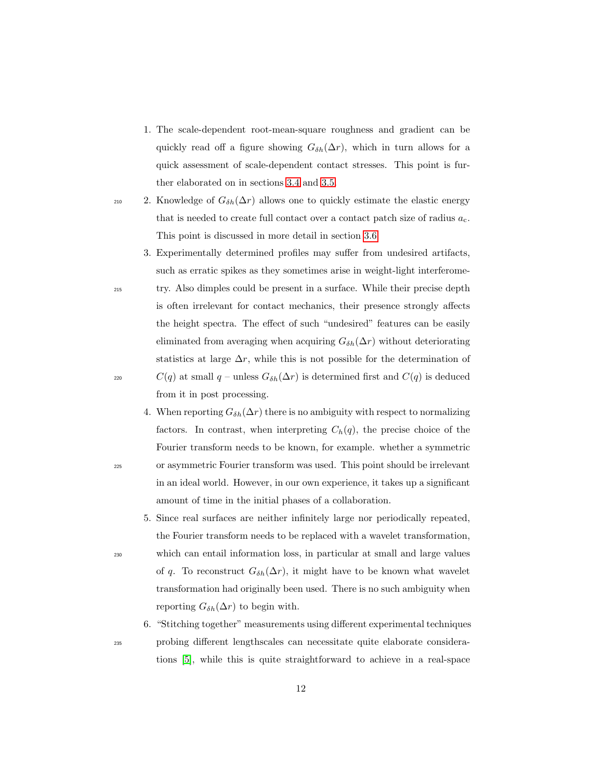- 1. The scale-dependent root-mean-square roughness and gradient can be quickly read off a figure showing  $G_{\delta h}(\Delta r)$ , which in turn allows for a quick assessment of scale-dependent contact stresses. This point is further elaborated on in sections [3.4](#page-15-0) and [3.5.](#page-18-0)
- 

210 2. Knowledge of  $G_{\delta h}(\Delta r)$  allows one to quickly estimate the elastic energy that is needed to create full contact over a contact patch size of radius  $a_c$ . This point is discussed in more detail in section [3.6.](#page-19-0)

3. Experimentally determined profiles may suffer from undesired artifacts, such as erratic spikes as they sometimes arise in weight-light interferome-<sup>215</sup> try. Also dimples could be present in a surface. While their precise depth is often irrelevant for contact mechanics, their presence strongly affects

the height spectra. The effect of such "undesired" features can be easily eliminated from averaging when acquiring  $G_{\delta h}(\Delta r)$  without deteriorating statistics at large  $\Delta r$ , while this is not possible for the determination of 220  $C(q)$  at small q – unless  $G_{\delta h}(\Delta r)$  is determined first and  $C(q)$  is deduced from it in post processing.

- 4. When reporting  $G_{\delta h}(\Delta r)$  there is no ambiguity with respect to normalizing factors. In contrast, when interpreting  $C_h(q)$ , the precise choice of the Fourier transform needs to be known, for example. whether a symmetric <sup>225</sup> or asymmetric Fourier transform was used. This point should be irrelevant in an ideal world. However, in our own experience, it takes up a significant amount of time in the initial phases of a collaboration.
- 5. Since real surfaces are neither infinitely large nor periodically repeated, the Fourier transform needs to be replaced with a wavelet transformation, <sup>230</sup> which can entail information loss, in particular at small and large values of q. To reconstruct  $G_{\delta h}(\Delta r)$ , it might have to be known what wavelet transformation had originally been used. There is no such ambiguity when reporting  $G_{\delta h}(\Delta r)$  to begin with.
- 6. "Stitching together" measurements using different experimental techniques <sup>235</sup> probing different lengthscales can necessitate quite elaborate considerations [\[5\]](#page-26-4), while this is quite straightforward to achieve in a real-space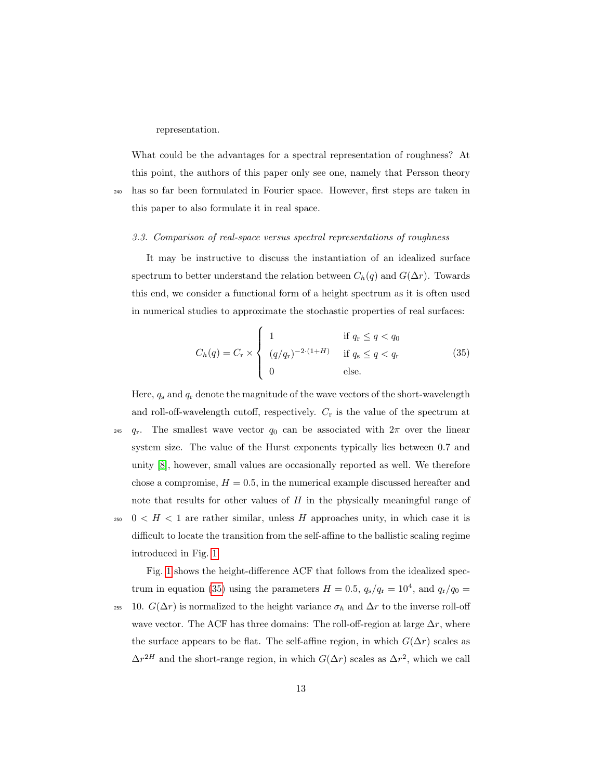representation.

What could be the advantages for a spectral representation of roughness? At this point, the authors of this paper only see one, namely that Persson theory <sup>240</sup> has so far been formulated in Fourier space. However, first steps are taken in this paper to also formulate it in real space.

# <span id="page-12-0"></span>3.3. Comparison of real-space versus spectral representations of roughness

It may be instructive to discuss the instantiation of an idealized surface spectrum to better understand the relation between  $C_h(q)$  and  $G(\Delta r)$ . Towards this end, we consider a functional form of a height spectrum as it is often used in numerical studies to approximate the stochastic properties of real surfaces:

<span id="page-12-1"></span>
$$
C_h(q) = C_r \times \begin{cases} 1 & \text{if } q_r \le q < q_0 \\ (q/q_r)^{-2 \cdot (1+H)} & \text{if } q_s \le q < q_r \\ 0 & \text{else.} \end{cases}
$$
(35)

Here,  $q_s$  and  $q_r$  denote the magnitude of the wave vectors of the short-wavelength and roll-off-wavelength cutoff, respectively.  $C_r$  is the value of the spectrum at <sup>245</sup>  $q_r$ . The smallest wave vector  $q_0$  can be associated with  $2\pi$  over the linear system size. The value of the Hurst exponents typically lies between 0.7 and unity [\[8\]](#page-27-2), however, small values are occasionally reported as well. We therefore chose a compromise,  $H = 0.5$ , in the numerical example discussed hereafter and note that results for other values of  $H$  in the physically meaningful range of <sup>250</sup> 0  $\lt H \lt 1$  are rather similar, unless H approaches unity, in which case it is difficult to locate the transition from the self-affine to the ballistic scaling regime introduced in Fig. [1.](#page-13-0)

Fig. [1](#page-13-0) shows the height-difference ACF that follows from the idealized spec-trum in equation [\(35\)](#page-12-1) using the parameters  $H = 0.5$ ,  $q_s/q_r = 10^4$ , and  $q_r/q_0 =$ <sup>255</sup> 10.  $G(\Delta r)$  is normalized to the height variance  $\sigma_h$  and  $\Delta r$  to the inverse roll-off wave vector. The ACF has three domains: The roll-off-region at large  $\Delta r$ , where the surface appears to be flat. The self-affine region, in which  $G(\Delta r)$  scales as  $\Delta r^{2H}$  and the short-range region, in which  $G(\Delta r)$  scales as  $\Delta r^2$ , which we call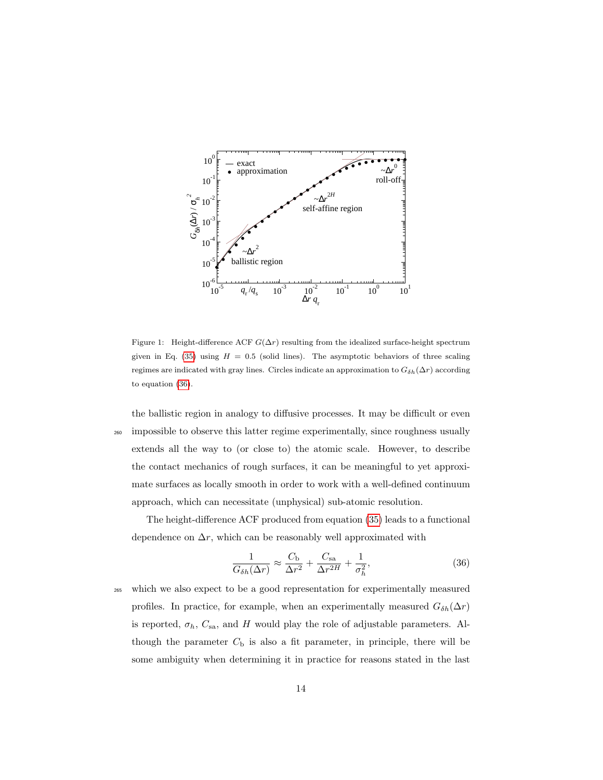

<span id="page-13-0"></span>Figure 1: Height-difference ACF  $G(\Delta r)$  resulting from the idealized surface-height spectrum given in Eq. [\(35\)](#page-12-1) using  $H = 0.5$  (solid lines). The asymptotic behaviors of three scaling regimes are indicated with gray lines. Circles indicate an approximation to  $G_{\delta h}(\Delta r)$  according to equation [\(36\)](#page-13-1).

the ballistic region in analogy to diffusive processes. It may be difficult or even <sup>260</sup> impossible to observe this latter regime experimentally, since roughness usually extends all the way to (or close to) the atomic scale. However, to describe the contact mechanics of rough surfaces, it can be meaningful to yet approximate surfaces as locally smooth in order to work with a well-defined continuum approach, which can necessitate (unphysical) sub-atomic resolution.

The height-difference ACF produced from equation [\(35\)](#page-12-1) leads to a functional dependence on  $\Delta r$ , which can be reasonably well approximated with

<span id="page-13-1"></span>
$$
\frac{1}{G_{\delta h}(\Delta r)} \approx \frac{C_{\rm b}}{\Delta r^2} + \frac{C_{\rm sa}}{\Delta r^{2H}} + \frac{1}{\sigma_h^2},\tag{36}
$$

<sup>265</sup> which we also expect to be a good representation for experimentally measured profiles. In practice, for example, when an experimentally measured  $G_{\delta h}(\Delta r)$ is reported,  $\sigma_h$ ,  $C_{sa}$ , and H would play the role of adjustable parameters. Although the parameter  $C<sub>b</sub>$  is also a fit parameter, in principle, there will be some ambiguity when determining it in practice for reasons stated in the last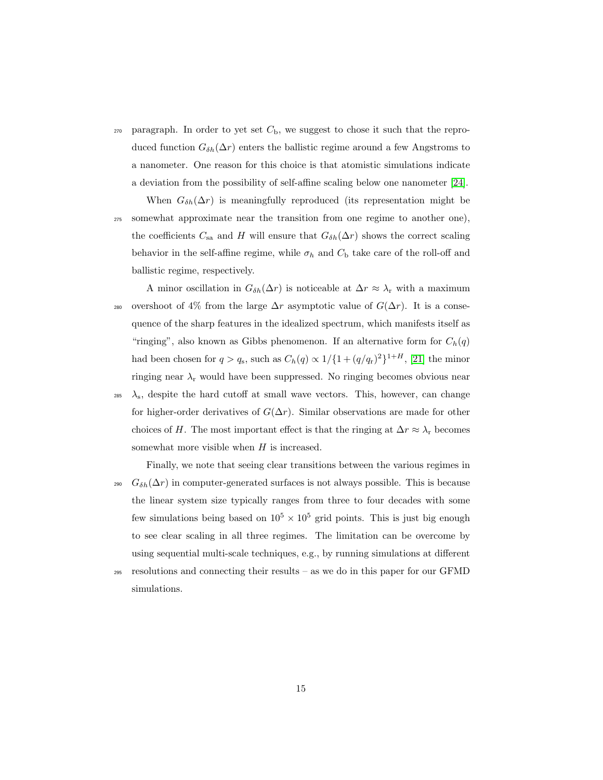- $270$  paragraph. In order to yet set  $C<sub>b</sub>$ , we suggest to chose it such that the reproduced function  $G_{\delta h}(\Delta r)$  enters the ballistic regime around a few Angstroms to a nanometer. One reason for this choice is that atomistic simulations indicate a deviation from the possibility of self-affine scaling below one nanometer [\[24\]](#page-29-1).
- When  $G_{\delta h}(\Delta r)$  is meaningfully reproduced (its representation might be <sup>275</sup> somewhat approximate near the transition from one regime to another one), the coefficients  $C_{sa}$  and H will ensure that  $G_{\delta h}(\Delta r)$  shows the correct scaling behavior in the self-affine regime, while  $\sigma_h$  and  $C_b$  take care of the roll-off and ballistic regime, respectively.
- A minor oscillation in  $G_{\delta h}(\Delta r)$  is noticeable at  $\Delta r \approx \lambda_r$  with a maximum 280 overshoot of 4% from the large  $\Delta r$  asymptotic value of  $G(\Delta r)$ . It is a consequence of the sharp features in the idealized spectrum, which manifests itself as "ringing", also known as Gibbs phenomenon. If an alternative form for  $C_h(q)$ had been chosen for  $q > q_s$ , such as  $C_h(q) \propto 1/\{1 + (q/q_r)^2\}^{1+H}$ , [\[21\]](#page-28-7) the minor ringing near  $\lambda_{\rm r}$  would have been suppressed. No ringing becomes obvious near
- $\lambda_{\rm s}$ , despite the hard cutoff at small wave vectors. This, however, can change for higher-order derivatives of  $G(\Delta r)$ . Similar observations are made for other choices of H. The most important effect is that the ringing at  $\Delta r \approx \lambda_r$  becomes somewhat more visible when H is increased.
- Finally, we note that seeing clear transitions between the various regimes in 290  $G_{\delta h}(\Delta r)$  in computer-generated surfaces is not always possible. This is because the linear system size typically ranges from three to four decades with some few simulations being based on  $10^5 \times 10^5$  grid points. This is just big enough to see clear scaling in all three regimes. The limitation can be overcome by using sequential multi-scale techniques, e.g., by running simulations at different <sup>295</sup> resolutions and connecting their results – as we do in this paper for our GFMD
	- simulations.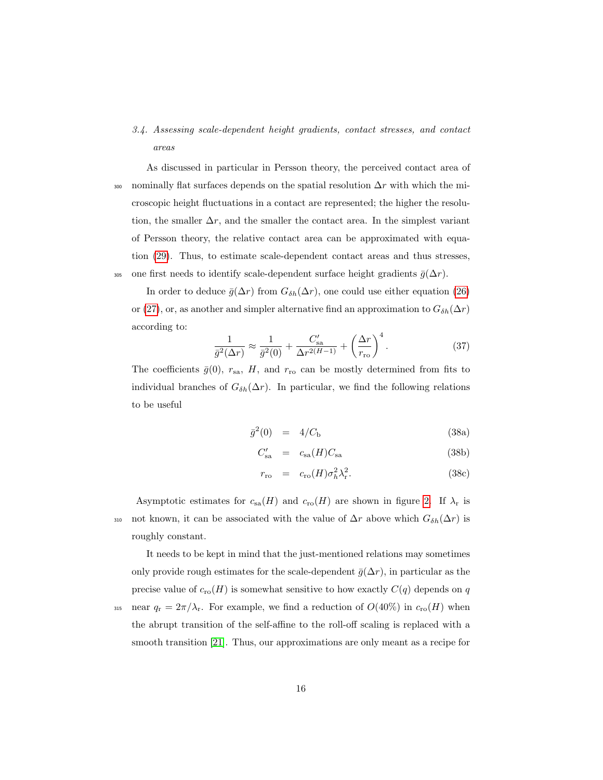- <span id="page-15-0"></span>3.4. Assessing scale-dependent height gradients, contact stresses, and contact areas
- As discussed in particular in Persson theory, the perceived contact area of 300 nominally flat surfaces depends on the spatial resolution  $\Delta r$  with which the microscopic height fluctuations in a contact are represented; the higher the resolution, the smaller  $\Delta r$ , and the smaller the contact area. In the simplest variant of Persson theory, the relative contact area can be approximated with equation [\(29\)](#page-8-2). Thus, to estimate scale-dependent contact areas and thus stresses, 305 one first needs to identify scale-dependent surface height gradients  $\bar{g}(\Delta r)$ .

In order to deduce  $\bar{g}(\Delta r)$  from  $G_{\delta h}(\Delta r)$ , one could use either equation [\(26\)](#page-7-0) or [\(27\)](#page-7-1), or, as another and simpler alternative find an approximation to  $G_{\delta h}(\Delta r)$ according to:

<span id="page-15-1"></span>
$$
\frac{1}{\bar{g}^2(\Delta r)} \approx \frac{1}{\bar{g}^2(0)} + \frac{C'_{\text{sa}}}{\Delta r^{2(H-1)}} + \left(\frac{\Delta r}{r_{\text{ro}}}\right)^4.
$$
 (37)

The coefficients  $\bar{g}(0)$ ,  $r_{\text{sa}}$ , H, and  $r_{\text{ro}}$  can be mostly determined from fits to individual branches of  $G_{\delta h}(\Delta r)$ . In particular, we find the following relations to be useful

<span id="page-15-2"></span>
$$
\bar{g}^2(0) = 4/C_{\rm b} \tag{38a}
$$

$$
C'_{\rm sa} = c_{\rm sa}(H)C_{\rm sa} \tag{38b}
$$

$$
r_{\rm ro} = c_{\rm ro}(H)\sigma_h^2 \lambda_{\rm r}^2. \tag{38c}
$$

Asymptotic estimates for  $c_{sa}(H)$  and  $c_{ro}(H)$  are shown in figure [2.](#page-16-0) If  $\lambda_r$  is 310 not known, it can be associated with the value of  $\Delta r$  above which  $G_{\delta h}(\Delta r)$  is roughly constant.

It needs to be kept in mind that the just-mentioned relations may sometimes only provide rough estimates for the scale-dependent  $\bar{g}(\Delta r)$ , in particular as the precise value of  $c_{\text{ro}}(H)$  is somewhat sensitive to how exactly  $C(q)$  depends on q 315 near  $q_r = 2\pi/\lambda_r$ . For example, we find a reduction of  $O(40\%)$  in  $c_{\rm ro}(H)$  when

the abrupt transition of the self-affine to the roll-off scaling is replaced with a smooth transition [\[21\]](#page-28-7). Thus, our approximations are only meant as a recipe for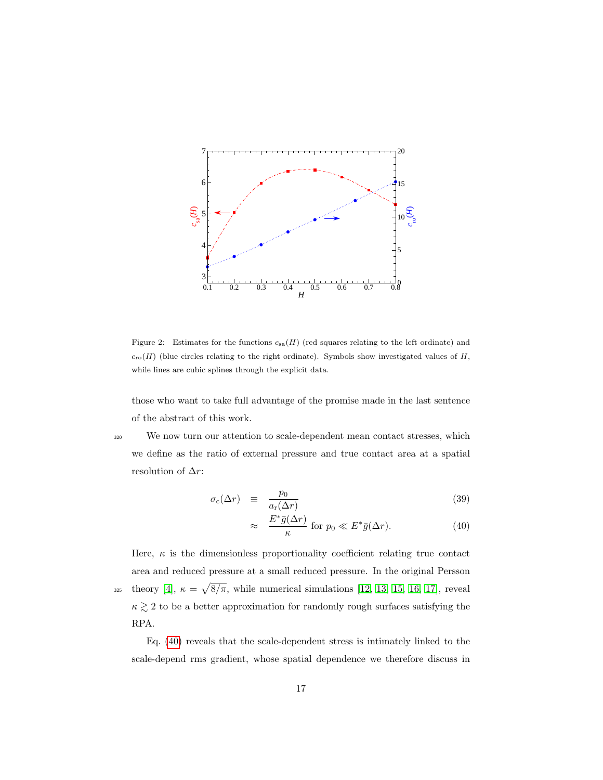

<span id="page-16-0"></span>Figure 2: Estimates for the functions  $c_{sa}(H)$  (red squares relating to the left ordinate) and  $c_{\text{ro}}(H)$  (blue circles relating to the right ordinate). Symbols show investigated values of H, while lines are cubic splines through the explicit data.

those who want to take full advantage of the promise made in the last sentence of the abstract of this work.

<sup>320</sup> We now turn our attention to scale-dependent mean contact stresses, which we define as the ratio of external pressure and true contact area at a spatial resolution of  $\Delta r$ :

<span id="page-16-1"></span>
$$
\sigma_c(\Delta r) \equiv \frac{p_0}{a_r(\Delta r)} \tag{39}
$$

$$
\approx \frac{E^*\bar{g}(\Delta r)}{\kappa} \text{ for } p_0 \ll E^*\bar{g}(\Delta r). \tag{40}
$$

Here,  $\kappa$  is the dimensionless proportionality coefficient relating true contact area and reduced pressure at a small reduced pressure. In the original Persson  $\sum_{325}$  theory [\[4\]](#page-26-3),  $\kappa = \sqrt{8/\pi}$ , while numerical simulations [\[12,](#page-27-6) [13,](#page-27-7) [15,](#page-28-1) [16,](#page-28-2) [17\]](#page-28-3), reveal  $\kappa \gtrsim 2$  to be a better approximation for randomly rough surfaces satisfying the RPA.

Eq. [\(40\)](#page-16-1) reveals that the scale-dependent stress is intimately linked to the scale-depend rms gradient, whose spatial dependence we therefore discuss in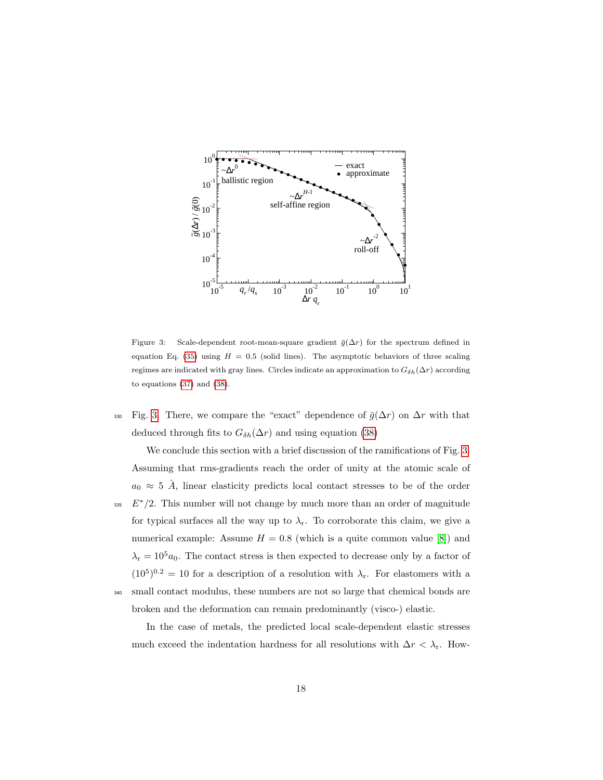

<span id="page-17-0"></span>Figure 3: Scale-dependent root-mean-square gradient  $\bar{g}(\Delta r)$  for the spectrum defined in equation Eq. [\(35\)](#page-12-1) using  $H = 0.5$  (solid lines). The asymptotic behaviors of three scaling regimes are indicated with gray lines. Circles indicate an approximation to  $G_{\delta h}(\Delta r)$  according to equations [\(37\)](#page-15-1) and [\(38\)](#page-15-2).

330 Fig. [3.](#page-17-0) There, we compare the "exact" dependence of  $\bar{g}(\Delta r)$  on  $\Delta r$  with that deduced through fits to  $G_{\delta h}(\Delta r)$  and using equation [\(38\)](#page-15-2)

We conclude this section with a brief discussion of the ramifications of Fig. [3.](#page-17-0) Assuming that rms-gradients reach the order of unity at the atomic scale of  $a_0 \approx 5$  Å, linear elasticity predicts local contact stresses to be of the order  $E^*/2$ . This number will not change by much more than an order of magnitude for typical surfaces all the way up to  $\lambda_{r}$ . To corroborate this claim, we give a numerical example: Assume  $H = 0.8$  (which is a quite common value [\[8\]](#page-27-2)) and  $\lambda_{\rm r} = 10^5 a_0$ . The contact stress is then expected to decrease only by a factor of  $(10^5)^{0.2} = 10$  for a description of a resolution with  $\lambda_r$ . For elastomers with a <sup>340</sup> small contact modulus, these numbers are not so large that chemical bonds are broken and the deformation can remain predominantly (visco-) elastic.

In the case of metals, the predicted local scale-dependent elastic stresses much exceed the indentation hardness for all resolutions with  $\Delta r < \lambda_{\rm r}$ . How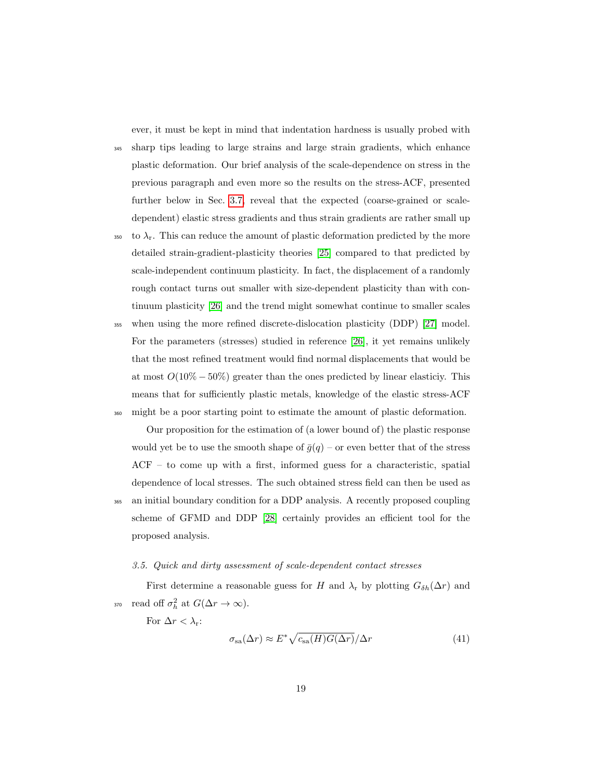ever, it must be kept in mind that indentation hardness is usually probed with

<sup>345</sup> sharp tips leading to large strains and large strain gradients, which enhance plastic deformation. Our brief analysis of the scale-dependence on stress in the previous paragraph and even more so the results on the stress-ACF, presented further below in Sec. [3.7,](#page-20-0) reveal that the expected (coarse-grained or scaledependent) elastic stress gradients and thus strain gradients are rather small up

- $350$  to  $\lambda_r$ . This can reduce the amount of plastic deformation predicted by the more detailed strain-gradient-plasticity theories [\[25\]](#page-29-2) compared to that predicted by scale-independent continuum plasticity. In fact, the displacement of a randomly rough contact turns out smaller with size-dependent plasticity than with continuum plasticity [\[26\]](#page-29-3) and the trend might somewhat continue to smaller scales
- <sup>355</sup> when using the more refined discrete-dislocation plasticity (DDP) [\[27\]](#page-29-4) model. For the parameters (stresses) studied in reference [\[26\]](#page-29-3), it yet remains unlikely that the most refined treatment would find normal displacements that would be at most  $O(10\% - 50\%)$  greater than the ones predicted by linear elasticiy. This means that for sufficiently plastic metals, knowledge of the elastic stress-ACF <sup>360</sup> might be a poor starting point to estimate the amount of plastic deformation.

Our proposition for the estimation of (a lower bound of) the plastic response would yet be to use the smooth shape of  $\bar{g}(q)$  – or even better that of the stress ACF – to come up with a first, informed guess for a characteristic, spatial dependence of local stresses. The such obtained stress field can then be used as <sup>365</sup> an initial boundary condition for a DDP analysis. A recently proposed coupling scheme of GFMD and DDP [\[28\]](#page-29-5) certainly provides an efficient tool for the proposed analysis.

#### <span id="page-18-0"></span>3.5. Quick and dirty assessment of scale-dependent contact stresses

First determine a reasonable guess for H and  $\lambda_r$  by plotting  $G_{\delta h}(\Delta r)$  and 370 read off  $\sigma_h^2$  at  $G(\Delta r \to \infty)$ .

For  $\Delta r < \lambda$ <sub>r</sub>:

$$
\sigma_{\rm sa}(\Delta r) \approx E^* \sqrt{c_{\rm sa}(H) G(\Delta r)} / \Delta r \tag{41}
$$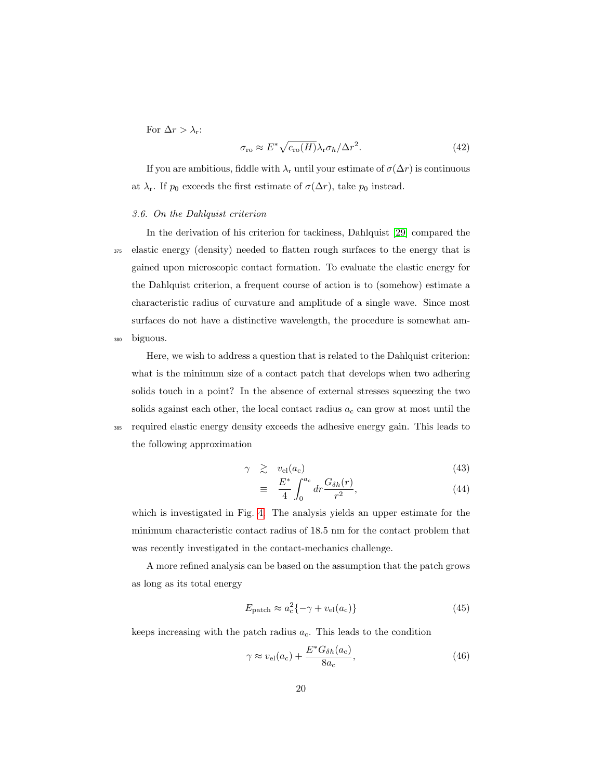For  $\Delta r > \lambda_{\rm r}$ :

$$
\sigma_{\rm ro} \approx E^* \sqrt{c_{\rm ro}(H)} \lambda_{\rm r} \sigma_h / \Delta r^2.
$$
 (42)

If you are ambitious, fiddle with  $\lambda_r$  until your estimate of  $\sigma(\Delta r)$  is continuous at  $\lambda_r$ . If  $p_0$  exceeds the first estimate of  $\sigma(\Delta r)$ , take  $p_0$  instead.

# <span id="page-19-0"></span>3.6. On the Dahlquist criterion

In the derivation of his criterion for tackiness, Dahlquist [\[29\]](#page-29-6) compared the <sup>375</sup> elastic energy (density) needed to flatten rough surfaces to the energy that is gained upon microscopic contact formation. To evaluate the elastic energy for the Dahlquist criterion, a frequent course of action is to (somehow) estimate a characteristic radius of curvature and amplitude of a single wave. Since most surfaces do not have a distinctive wavelength, the procedure is somewhat am-<sup>380</sup> biguous.

Here, we wish to address a question that is related to the Dahlquist criterion: what is the minimum size of a contact patch that develops when two adhering solids touch in a point? In the absence of external stresses squeezing the two solids against each other, the local contact radius  $a_c$  can grow at most until the <sup>385</sup> required elastic energy density exceeds the adhesive energy gain. This leads to the following approximation

<span id="page-19-1"></span>
$$
\gamma \quad \gtrsim \quad v_{\rm el}(a_{\rm c}) \tag{43}
$$

$$
\equiv \frac{E^*}{4} \int_0^{a_c} dr \frac{G_{\delta h}(r)}{r^2},\tag{44}
$$

which is investigated in Fig. [4.](#page-20-1) The analysis yields an upper estimate for the minimum characteristic contact radius of 18.5 nm for the contact problem that was recently investigated in the contact-mechanics challenge.

A more refined analysis can be based on the assumption that the patch grows as long as its total energy

$$
E_{\text{patch}} \approx a_{\text{c}}^2 \{-\gamma + v_{\text{el}}(a_{\text{c}})\}\tag{45}
$$

keeps increasing with the patch radius  $a<sub>c</sub>$ . This leads to the condition

$$
\gamma \approx v_{\rm el}(a_{\rm c}) + \frac{E^* G_{\delta h}(a_{\rm c})}{8a_{\rm c}},\tag{46}
$$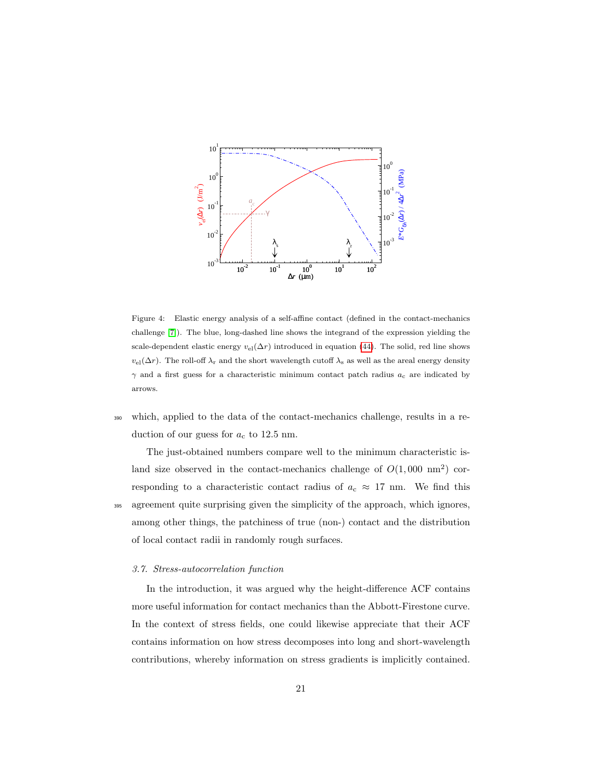

<span id="page-20-1"></span>Figure 4: Elastic energy analysis of a self-affine contact (defined in the contact-mechanics challenge [\[7\]](#page-27-1)). The blue, long-dashed line shows the integrand of the expression yielding the scale-dependent elastic energy  $v_{el}(\Delta r)$  introduced in equation [\(44\)](#page-19-1). The solid, red line shows  $v_{\text{el}}(\Delta r)$ . The roll-off  $\lambda_r$  and the short wavelength cutoff  $\lambda_s$  as well as the areal energy density  $\gamma$  and a first guess for a characteristic minimum contact patch radius  $a_c$  are indicated by arrows.

<sup>390</sup> which, applied to the data of the contact-mechanics challenge, results in a reduction of our guess for  $a_c$  to 12.5 nm.

The just-obtained numbers compare well to the minimum characteristic island size observed in the contact-mechanics challenge of  $O(1,000 \text{ nm}^2)$  corresponding to a characteristic contact radius of  $a_c \approx 17$  nm. We find this <sup>395</sup> agreement quite surprising given the simplicity of the approach, which ignores, among other things, the patchiness of true (non-) contact and the distribution of local contact radii in randomly rough surfaces.

## <span id="page-20-0"></span>3.7. Stress-autocorrelation function

In the introduction, it was argued why the height-difference ACF contains more useful information for contact mechanics than the Abbott-Firestone curve. In the context of stress fields, one could likewise appreciate that their ACF contains information on how stress decomposes into long and short-wavelength contributions, whereby information on stress gradients is implicitly contained.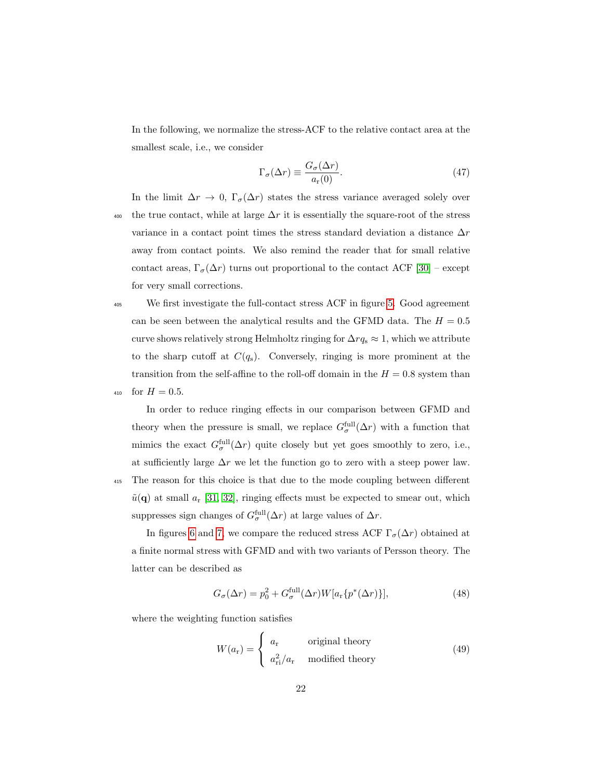In the following, we normalize the stress-ACF to the relative contact area at the smallest scale, i.e., we consider

$$
\Gamma_{\sigma}(\Delta r) \equiv \frac{G_{\sigma}(\Delta r)}{a_{\rm r}(0)}.\tag{47}
$$

In the limit  $\Delta r \to 0$ ,  $\Gamma_{\sigma}(\Delta r)$  states the stress variance averaged solely over 400 the true contact, while at large  $\Delta r$  it is essentially the square-root of the stress variance in a contact point times the stress standard deviation a distance  $\Delta r$ away from contact points. We also remind the reader that for small relative contact areas,  $\Gamma_{\sigma}(\Delta r)$  turns out proportional to the contact ACF [\[30\]](#page-29-7) – except for very small corrections.

<sup>405</sup> We first investigate the full-contact stress ACF in figure [5.](#page-22-0) Good agreement can be seen between the analytical results and the GFMD data. The  $H = 0.5$ curve shows relatively strong Helmholtz ringing for  $\Delta r q_s \approx 1$ , which we attribute to the sharp cutoff at  $C(q_s)$ . Conversely, ringing is more prominent at the transition from the self-affine to the roll-off domain in the  $H = 0.8$  system than 410 for  $H = 0.5$ .

In order to reduce ringing effects in our comparison between GFMD and theory when the pressure is small, we replace  $G_{\sigma}^{\text{full}}(\Delta r)$  with a function that mimics the exact  $G_{\sigma}^{\text{full}}(\Delta r)$  quite closely but yet goes smoothly to zero, i.e., at sufficiently large  $\Delta r$  we let the function go to zero with a steep power law. <sup>415</sup> The reason for this choice is that due to the mode coupling between different  $\tilde{u}(\mathbf{q})$  at small  $a_r$  [\[31,](#page-30-0) [32\]](#page-30-1), ringing effects must be expected to smear out, which suppresses sign changes of  $G_{\sigma}^{\text{full}}(\Delta r)$  at large values of  $\Delta r$ .

In figures [6](#page-23-0) and [7,](#page-23-1) we compare the reduced stress ACF  $\Gamma_{\sigma}(\Delta r)$  obtained at a finite normal stress with GFMD and with two variants of Persson theory. The latter can be described as

<span id="page-21-0"></span>
$$
G_{\sigma}(\Delta r) = p_0^2 + G_{\sigma}^{\text{full}}(\Delta r)W[a_r\{p^*(\Delta r)\}], \tag{48}
$$

where the weighting function satisfies

$$
W(a_{\rm r}) = \begin{cases} a_{\rm r} & \text{original theory} \\ a_{\rm ri}^2/a_{\rm r} & \text{modified theory} \end{cases}
$$
 (49)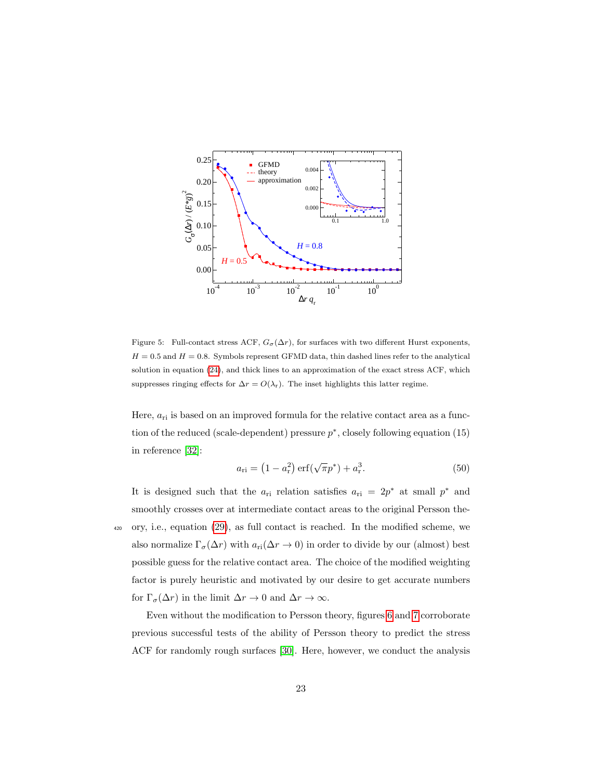

<span id="page-22-0"></span>Figure 5: Full-contact stress ACF,  $G_{\sigma}(\Delta r)$ , for surfaces with two different Hurst exponents,  $H = 0.5$  and  $H = 0.8$ . Symbols represent GFMD data, thin dashed lines refer to the analytical solution in equation [\(24\)](#page-6-0), and thick lines to an approximation of the exact stress ACF, which suppresses ringing effects for  $\Delta r = O(\lambda_r)$ . The inset highlights this latter regime.

Here,  $a_{ri}$  is based on an improved formula for the relative contact area as a function of the reduced (scale-dependent) pressure  $p^*$ , closely following equation (15) in reference [\[32\]](#page-30-1):

$$
a_{\rm ri} = \left(1 - a_{\rm r}^2\right) \text{erf}\left(\sqrt{\pi}p^*\right) + a_{\rm r}^3. \tag{50}
$$

It is designed such that the  $a_{ri}$  relation satisfies  $a_{ri} = 2p^*$  at small  $p^*$  and smoothly crosses over at intermediate contact areas to the original Persson the-<sup>420</sup> ory, i.e., equation [\(29\)](#page-8-2), as full contact is reached. In the modified scheme, we also normalize  $\Gamma_{\sigma}(\Delta r)$  with  $a_{\text{ri}}(\Delta r \to 0)$  in order to divide by our (almost) best possible guess for the relative contact area. The choice of the modified weighting factor is purely heuristic and motivated by our desire to get accurate numbers for  $\Gamma_{\sigma}(\Delta r)$  in the limit  $\Delta r \to 0$  and  $\Delta r \to \infty$ .

Even without the modification to Persson theory, figures [6](#page-23-0) and [7](#page-23-1) corroborate previous successful tests of the ability of Persson theory to predict the stress ACF for randomly rough surfaces [\[30\]](#page-29-7). Here, however, we conduct the analysis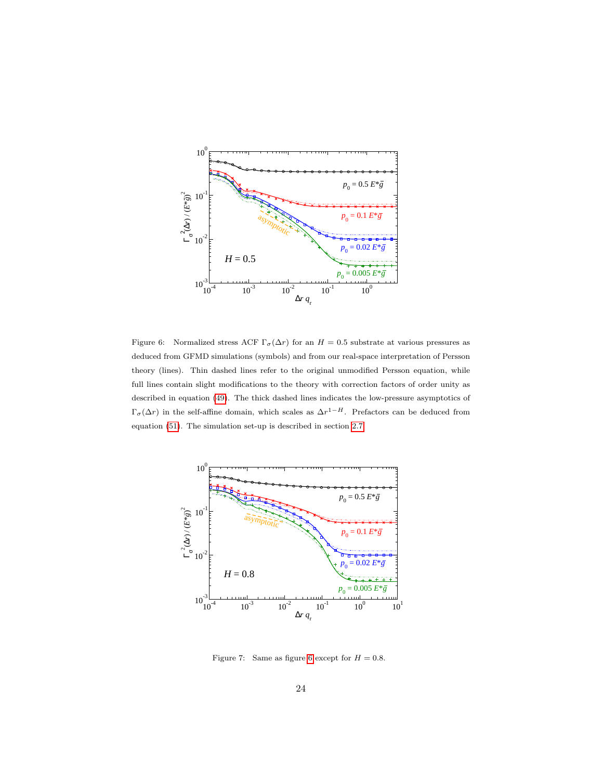

<span id="page-23-0"></span>Figure 6: Normalized stress ACF  $\Gamma_{\sigma}(\Delta r)$  for an  $H = 0.5$  substrate at various pressures as deduced from GFMD simulations (symbols) and from our real-space interpretation of Persson theory (lines). Thin dashed lines refer to the original unmodified Persson equation, while full lines contain slight modifications to the theory with correction factors of order unity as described in equation [\(49\)](#page-21-0). The thick dashed lines indicates the low-pressure asymptotics of  $\Gamma_{\sigma}(\Delta r)$  in the self-affine domain, which scales as  $\Delta r^{1-H}$ . Prefactors can be deduced from equation [\(51\)](#page-24-1). The simulation set-up is described in section [2.7.](#page-9-0)



<span id="page-23-1"></span>Figure 7: Same as figure [6](#page-23-0) except for  $H = 0.8$ .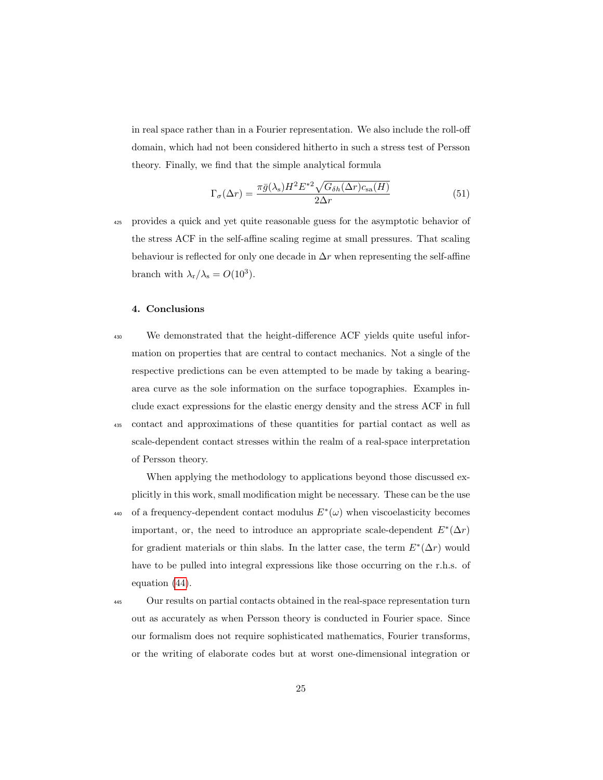in real space rather than in a Fourier representation. We also include the roll-off domain, which had not been considered hitherto in such a stress test of Persson theory. Finally, we find that the simple analytical formula

<span id="page-24-1"></span>
$$
\Gamma_{\sigma}(\Delta r) = \frac{\pi \bar{g}(\lambda_{\rm s}) H^2 E^{*2} \sqrt{G_{\delta h}(\Delta r) c_{\rm sa}(H)}}{2\Delta r}
$$
(51)

<sup>425</sup> provides a quick and yet quite reasonable guess for the asymptotic behavior of the stress ACF in the self-affine scaling regime at small pressures. That scaling behaviour is reflected for only one decade in  $\Delta r$  when representing the self-affine branch with  $\lambda_{\rm r}/\lambda_{\rm s} = O(10^3)$ .

# <span id="page-24-0"></span>4. Conclusions

- <sup>430</sup> We demonstrated that the height-difference ACF yields quite useful information on properties that are central to contact mechanics. Not a single of the respective predictions can be even attempted to be made by taking a bearingarea curve as the sole information on the surface topographies. Examples include exact expressions for the elastic energy density and the stress ACF in full <sup>435</sup> contact and approximations of these quantities for partial contact as well as scale-dependent contact stresses within the realm of a real-space interpretation
	- of Persson theory.

When applying the methodology to applications beyond those discussed explicitly in this work, small modification might be necessary. These can be the use 440 of a frequency-dependent contact modulus  $E^*(\omega)$  when viscoelasticity becomes important, or, the need to introduce an appropriate scale-dependent  $E^*(\Delta r)$ for gradient materials or thin slabs. In the latter case, the term  $E^*(\Delta r)$  would have to be pulled into integral expressions like those occurring on the r.h.s. of equation [\(44\)](#page-19-1).

<sup>445</sup> Our results on partial contacts obtained in the real-space representation turn out as accurately as when Persson theory is conducted in Fourier space. Since our formalism does not require sophisticated mathematics, Fourier transforms, or the writing of elaborate codes but at worst one-dimensional integration or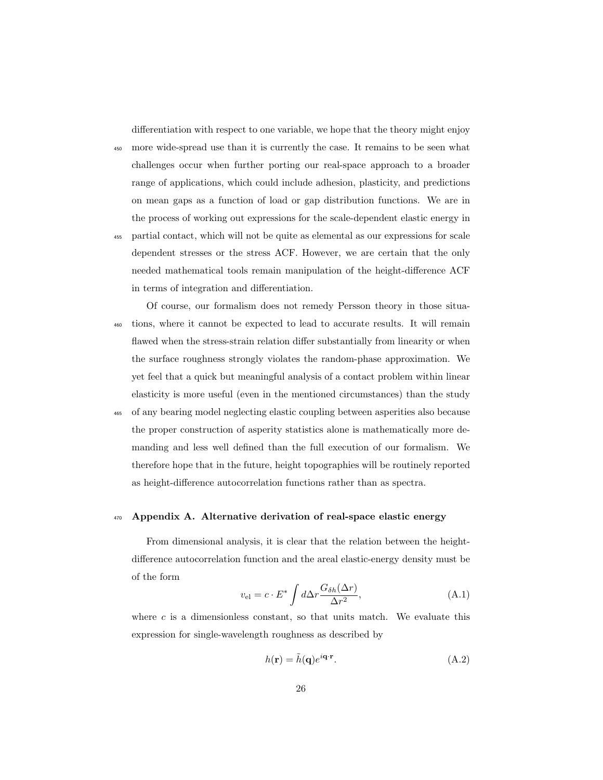differentiation with respect to one variable, we hope that the theory might enjoy

<sup>450</sup> more wide-spread use than it is currently the case. It remains to be seen what challenges occur when further porting our real-space approach to a broader range of applications, which could include adhesion, plasticity, and predictions on mean gaps as a function of load or gap distribution functions. We are in the process of working out expressions for the scale-dependent elastic energy in <sup>455</sup> partial contact, which will not be quite as elemental as our expressions for scale

- dependent stresses or the stress ACF. However, we are certain that the only needed mathematical tools remain manipulation of the height-difference ACF in terms of integration and differentiation.
- Of course, our formalism does not remedy Persson theory in those situa-<sup>460</sup> tions, where it cannot be expected to lead to accurate results. It will remain flawed when the stress-strain relation differ substantially from linearity or when the surface roughness strongly violates the random-phase approximation. We yet feel that a quick but meaningful analysis of a contact problem within linear elasticity is more useful (even in the mentioned circumstances) than the study
- <sup>465</sup> of any bearing model neglecting elastic coupling between asperities also because the proper construction of asperity statistics alone is mathematically more demanding and less well defined than the full execution of our formalism. We therefore hope that in the future, height topographies will be routinely reported as height-difference autocorrelation functions rather than as spectra.

# <span id="page-25-0"></span><sup>470</sup> Appendix A. Alternative derivation of real-space elastic energy

<span id="page-25-1"></span>From dimensional analysis, it is clear that the relation between the heightdifference autocorrelation function and the areal elastic-energy density must be of the form

$$
v_{\rm el} = c \cdot E^* \int d\Delta r \frac{G_{\delta h}(\Delta r)}{\Delta r^2},\tag{A.1}
$$

where  $c$  is a dimensionless constant, so that units match. We evaluate this expression for single-wavelength roughness as described by

$$
h(\mathbf{r}) = \tilde{h}(\mathbf{q})e^{i\mathbf{q}\cdot\mathbf{r}}.\tag{A.2}
$$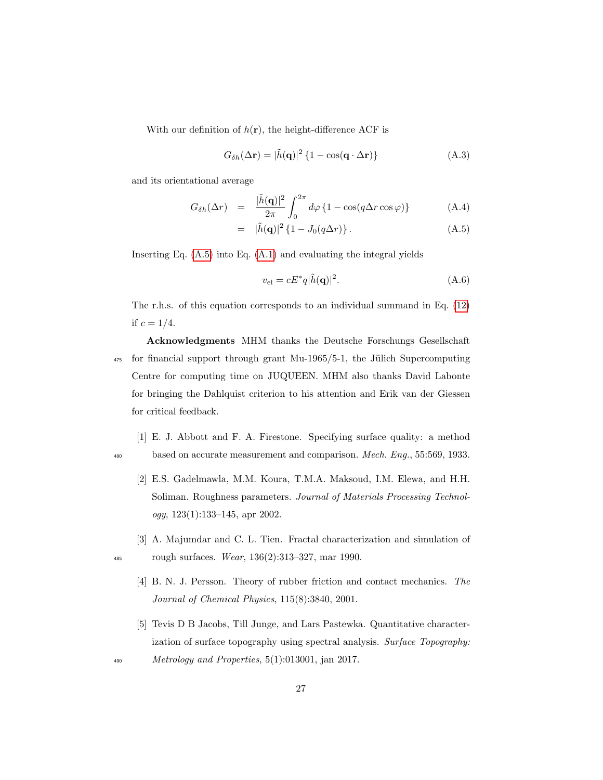With our definition of  $h(\mathbf{r})$ , the height-difference ACF is

$$
G_{\delta h}(\Delta \mathbf{r}) = |\tilde{h}(\mathbf{q})|^2 \left\{ 1 - \cos(\mathbf{q} \cdot \Delta \mathbf{r}) \right\} \tag{A.3}
$$

and its orientational average

<span id="page-26-5"></span>
$$
G_{\delta h}(\Delta r) = \frac{|\tilde{h}(\mathbf{q})|^2}{2\pi} \int_0^{2\pi} d\varphi \left\{ 1 - \cos(q\Delta r \cos \varphi) \right\} \tag{A.4}
$$

$$
= |\tilde{h}(\mathbf{q})|^2 \{ 1 - J_0(q\Delta r) \}.
$$
 (A.5)

Inserting Eq.  $(A.5)$  into Eq.  $(A.1)$  and evaluating the integral yields

$$
v_{\rm el} = cE^*q|\tilde{h}(\mathbf{q})|^2. \tag{A.6}
$$

The r.h.s. of this equation corresponds to an individual summand in Eq. [\(12\)](#page-5-1) if  $c = 1/4$ .

Acknowledgments MHM thanks the Deutsche Forschungs Gesellschaft  $475$  for financial support through grant Mu-1965/5-1, the Jülich Supercomputing Centre for computing time on JUQUEEN. MHM also thanks David Labonte for bringing the Dahlquist criterion to his attention and Erik van der Giessen for critical feedback.

- <span id="page-26-1"></span><span id="page-26-0"></span>[1] E. J. Abbott and F. A. Firestone. Specifying surface quality: a method <sup>480</sup> based on accurate measurement and comparison. *Mech. Eng.*, 55:569, 1933.
	- [2] E.S. Gadelmawla, M.M. Koura, T.M.A. Maksoud, I.M. Elewa, and H.H. Soliman. Roughness parameters. Journal of Materials Processing Technology, 123(1):133–145, apr 2002.
- <span id="page-26-3"></span><span id="page-26-2"></span>[3] A. Majumdar and C. L. Tien. Fractal characterization and simulation of 485 rough surfaces. Wear,  $136(2):313-327$ , mar 1990.
	- [4] B. N. J. Persson. Theory of rubber friction and contact mechanics. The Journal of Chemical Physics, 115(8):3840, 2001.
	- [5] Tevis D B Jacobs, Till Junge, and Lars Pastewka. Quantitative characterization of surface topography using spectral analysis. Surface Topography:
- <span id="page-26-4"></span> $490$  Metrology and Properties, 5(1):013001, jan 2017.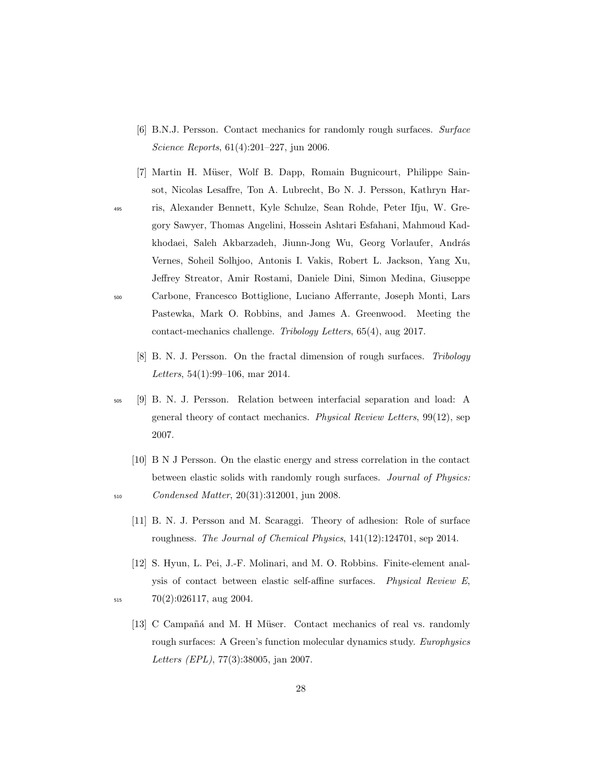- <span id="page-27-0"></span>[6] B.N.J. Persson. Contact mechanics for randomly rough surfaces. Surface Science Reports, 61(4):201–227, jun 2006.
- <span id="page-27-1"></span>[7] Martin H. Müser, Wolf B. Dapp, Romain Bugnicourt, Philippe Sainsot, Nicolas Lesaffre, Ton A. Lubrecht, Bo N. J. Persson, Kathryn Har-<sup>495</sup> ris, Alexander Bennett, Kyle Schulze, Sean Rohde, Peter Ifju, W. Gregory Sawyer, Thomas Angelini, Hossein Ashtari Esfahani, Mahmoud Kadkhodaei, Saleh Akbarzadeh, Jiunn-Jong Wu, Georg Vorlaufer, András Vernes, Soheil Solhjoo, Antonis I. Vakis, Robert L. Jackson, Yang Xu, Jeffrey Streator, Amir Rostami, Daniele Dini, Simon Medina, Giuseppe <sup>500</sup> Carbone, Francesco Bottiglione, Luciano Afferrante, Joseph Monti, Lars
	- Pastewka, Mark O. Robbins, and James A. Greenwood. Meeting the contact-mechanics challenge. Tribology Letters, 65(4), aug 2017.
		- [8] B. N. J. Persson. On the fractal dimension of rough surfaces. Tribology Letters, 54(1):99–106, mar 2014.
- <span id="page-27-3"></span><span id="page-27-2"></span><sup>505</sup> [9] B. N. J. Persson. Relation between interfacial separation and load: A general theory of contact mechanics. Physical Review Letters, 99(12), sep 2007.
- <span id="page-27-5"></span><span id="page-27-4"></span>[10] B N J Persson. On the elastic energy and stress correlation in the contact between elastic solids with randomly rough surfaces. Journal of Physics: <sup>510</sup> Condensed Matter, 20(31):312001, jun 2008.
	- [11] B. N. J. Persson and M. Scaraggi. Theory of adhesion: Role of surface roughness. The Journal of Chemical Physics, 141(12):124701, sep 2014.
- <span id="page-27-7"></span><span id="page-27-6"></span>[12] S. Hyun, L. Pei, J.-F. Molinari, and M. O. Robbins. Finite-element analysis of contact between elastic self-affine surfaces. Physical Review E,  $515$   $70(2):026117$ , aug 2004.
	- [13] C Campañá and M. H Müser. Contact mechanics of real vs. randomly rough surfaces: A Green's function molecular dynamics study. Europhysics Letters (EPL), 77(3):38005, jan 2007.
		- 28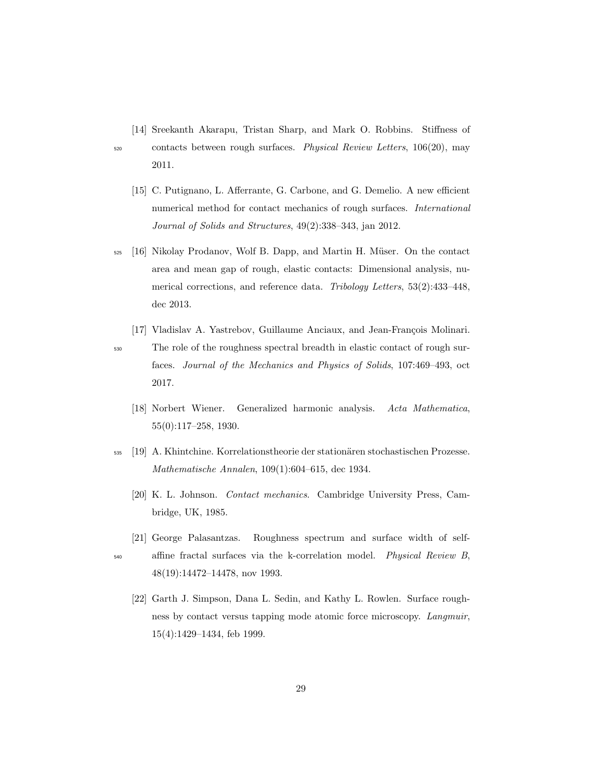<span id="page-28-0"></span>[14] Sreekanth Akarapu, Tristan Sharp, and Mark O. Robbins. Stiffness of

<span id="page-28-1"></span>

- <sup>520</sup> contacts between rough surfaces. Physical Review Letters, 106(20), may 2011.
	- [15] C. Putignano, L. Afferrante, G. Carbone, and G. Demelio. A new efficient numerical method for contact mechanics of rough surfaces. International Journal of Solids and Structures, 49(2):338–343, jan 2012.
- <span id="page-28-2"></span> $525$  [16] Nikolay Prodanov, Wolf B. Dapp, and Martin H. Müser. On the contact area and mean gap of rough, elastic contacts: Dimensional analysis, numerical corrections, and reference data. Tribology Letters, 53(2):433–448, dec 2013.
- <span id="page-28-3"></span>[17] Vladislav A. Yastrebov, Guillaume Anciaux, and Jean-François Molinari. <sup>530</sup> The role of the roughness spectral breadth in elastic contact of rough surfaces. Journal of the Mechanics and Physics of Solids, 107:469–493, oct 2017.
	- [18] Norbert Wiener. Generalized harmonic analysis. Acta Mathematica, 55(0):117–258, 1930.
- <span id="page-28-6"></span><span id="page-28-5"></span><span id="page-28-4"></span><sup>535</sup> [19] A. Khintchine. Korrelationstheorie der station¨aren stochastischen Prozesse. Mathematische Annalen, 109(1):604–615, dec 1934.
	- [20] K. L. Johnson. Contact mechanics. Cambridge University Press, Cambridge, UK, 1985.
	- [21] George Palasantzas. Roughness spectrum and surface width of self-
- <span id="page-28-8"></span><span id="page-28-7"></span>540 affine fractal surfaces via the k-correlation model. Physical Review B, 48(19):14472–14478, nov 1993.
	- [22] Garth J. Simpson, Dana L. Sedin, and Kathy L. Rowlen. Surface roughness by contact versus tapping mode atomic force microscopy. Langmuir, 15(4):1429–1434, feb 1999.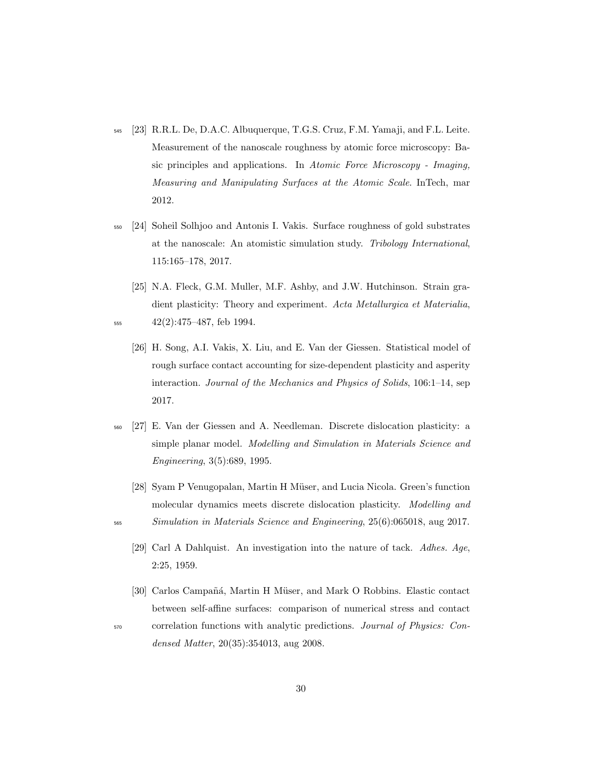- <span id="page-29-0"></span><sup>545</sup> [23] R.R.L. De, D.A.C. Albuquerque, T.G.S. Cruz, F.M. Yamaji, and F.L. Leite. Measurement of the nanoscale roughness by atomic force microscopy: Basic principles and applications. In Atomic Force Microscopy - Imaging, Measuring and Manipulating Surfaces at the Atomic Scale. InTech, mar 2012.
- <span id="page-29-1"></span><sup>550</sup> [24] Soheil Solhjoo and Antonis I. Vakis. Surface roughness of gold substrates at the nanoscale: An atomistic simulation study. Tribology International, 115:165–178, 2017.
- <span id="page-29-3"></span><span id="page-29-2"></span>[25] N.A. Fleck, G.M. Muller, M.F. Ashby, and J.W. Hutchinson. Strain gradient plasticity: Theory and experiment. Acta Metallurgica et Materialia, <sup>555</sup> 42(2):475–487, feb 1994.
	- [26] H. Song, A.I. Vakis, X. Liu, and E. Van der Giessen. Statistical model of rough surface contact accounting for size-dependent plasticity and asperity interaction. Journal of the Mechanics and Physics of Solids, 106:1–14, sep 2017.
- <span id="page-29-4"></span><sup>560</sup> [27] E. Van der Giessen and A. Needleman. Discrete dislocation plasticity: a simple planar model. Modelling and Simulation in Materials Science and Engineering, 3(5):689, 1995.
	- [28] Syam P Venugopalan, Martin H Müser, and Lucia Nicola. Green's function molecular dynamics meets discrete dislocation plasticity. Modelling and
- <span id="page-29-6"></span><span id="page-29-5"></span><sup>565</sup> Simulation in Materials Science and Engineering, 25(6):065018, aug 2017.
	- [29] Carl A Dahlquist. An investigation into the nature of tack. Adhes. Age, 2:25, 1959.
- <span id="page-29-7"></span>[30] Carlos Campañá, Martin H Müser, and Mark O Robbins. Elastic contact between self-affine surfaces: comparison of numerical stress and contact <sup>570</sup> correlation functions with analytic predictions. Journal of Physics: Con-

densed Matter, 20(35):354013, aug 2008.